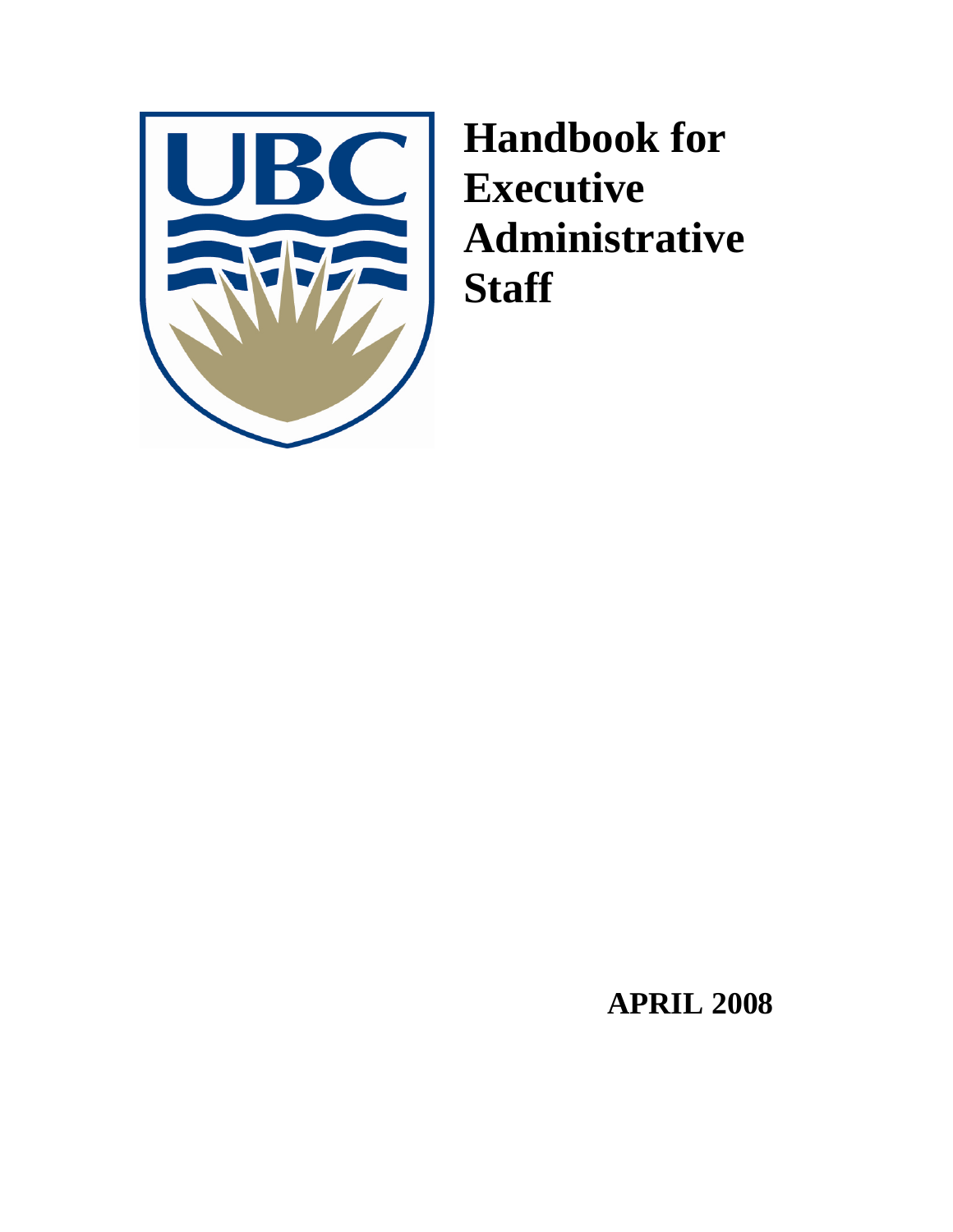

**Handbook for Executive Administrative Staff** 

 **APRIL 2008**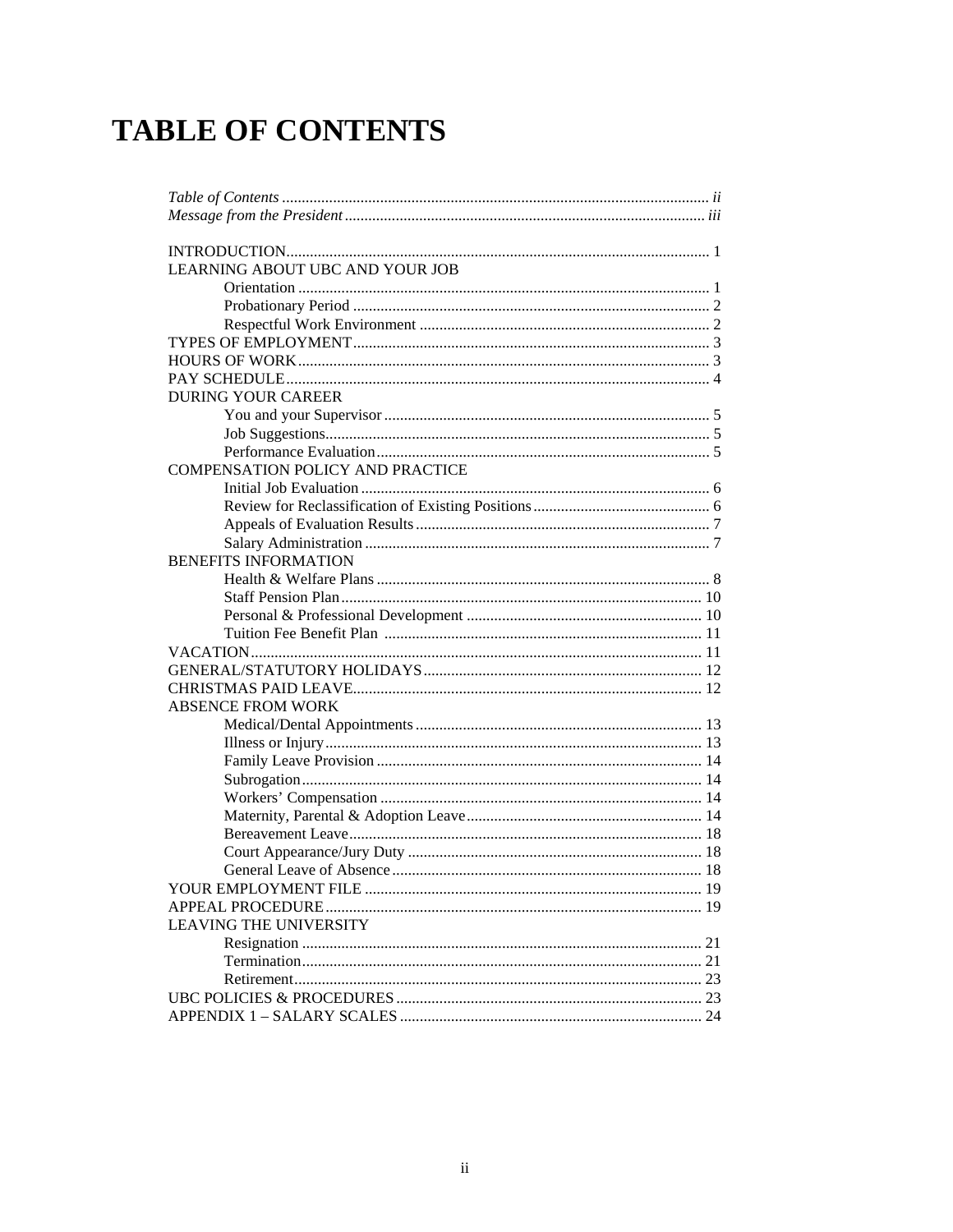# **TABLE OF CONTENTS**

| LEARNING ABOUT UBC AND YOUR JOB         |
|-----------------------------------------|
|                                         |
|                                         |
|                                         |
|                                         |
|                                         |
|                                         |
| <b>DURING YOUR CAREER</b>               |
|                                         |
|                                         |
|                                         |
| <b>COMPENSATION POLICY AND PRACTICE</b> |
|                                         |
|                                         |
|                                         |
|                                         |
| <b>BENEFITS INFORMATION</b>             |
|                                         |
|                                         |
|                                         |
|                                         |
|                                         |
|                                         |
|                                         |
| <b>ABSENCE FROM WORK</b>                |
|                                         |
|                                         |
|                                         |
|                                         |
|                                         |
|                                         |
|                                         |
|                                         |
|                                         |
|                                         |
|                                         |
| <b>LEAVING THE UNIVERSITY</b>           |
|                                         |
|                                         |
|                                         |
|                                         |
|                                         |
|                                         |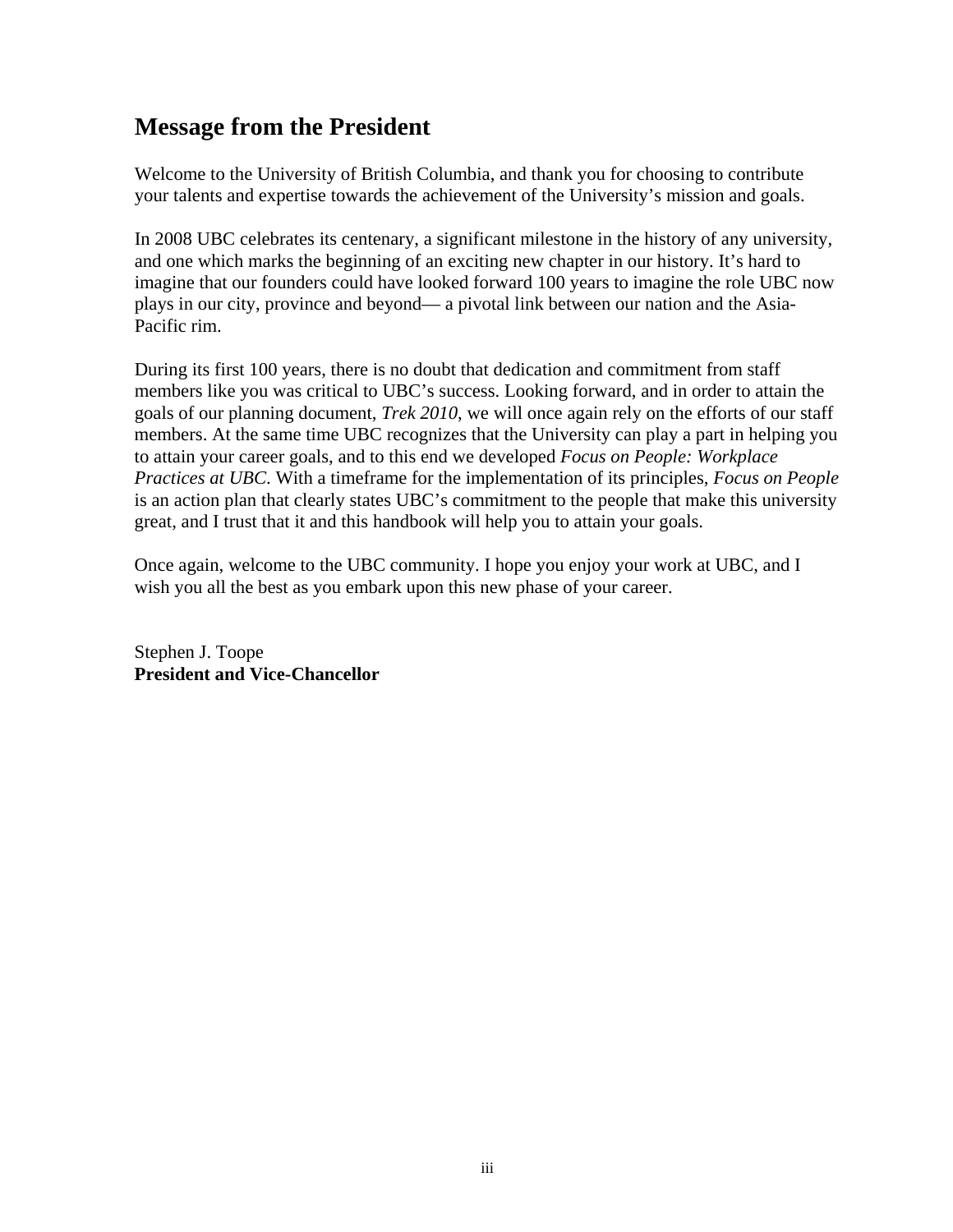## **Message from the President**

Welcome to the University of British Columbia, and thank you for choosing to contribute your talents and expertise towards the achievement of the University's mission and goals.

In 2008 UBC celebrates its centenary, a significant milestone in the history of any university, and one which marks the beginning of an exciting new chapter in our history. It's hard to imagine that our founders could have looked forward 100 years to imagine the role UBC now plays in our city, province and beyond— a pivotal link between our nation and the Asia-Pacific rim.

During its first 100 years, there is no doubt that dedication and commitment from staff members like you was critical to UBC's success. Looking forward, and in order to attain the goals of our planning document, *Trek 2010*, we will once again rely on the efforts of our staff members. At the same time UBC recognizes that the University can play a part in helping you to attain your career goals, and to this end we developed *Focus on People: Workplace Practices at UBC*. With a timeframe for the implementation of its principles, *Focus on People* is an action plan that clearly states UBC's commitment to the people that make this university great, and I trust that it and this handbook will help you to attain your goals.

Once again, welcome to the UBC community. I hope you enjoy your work at UBC, and I wish you all the best as you embark upon this new phase of your career.

Stephen J. Toope **President and Vice-Chancellor**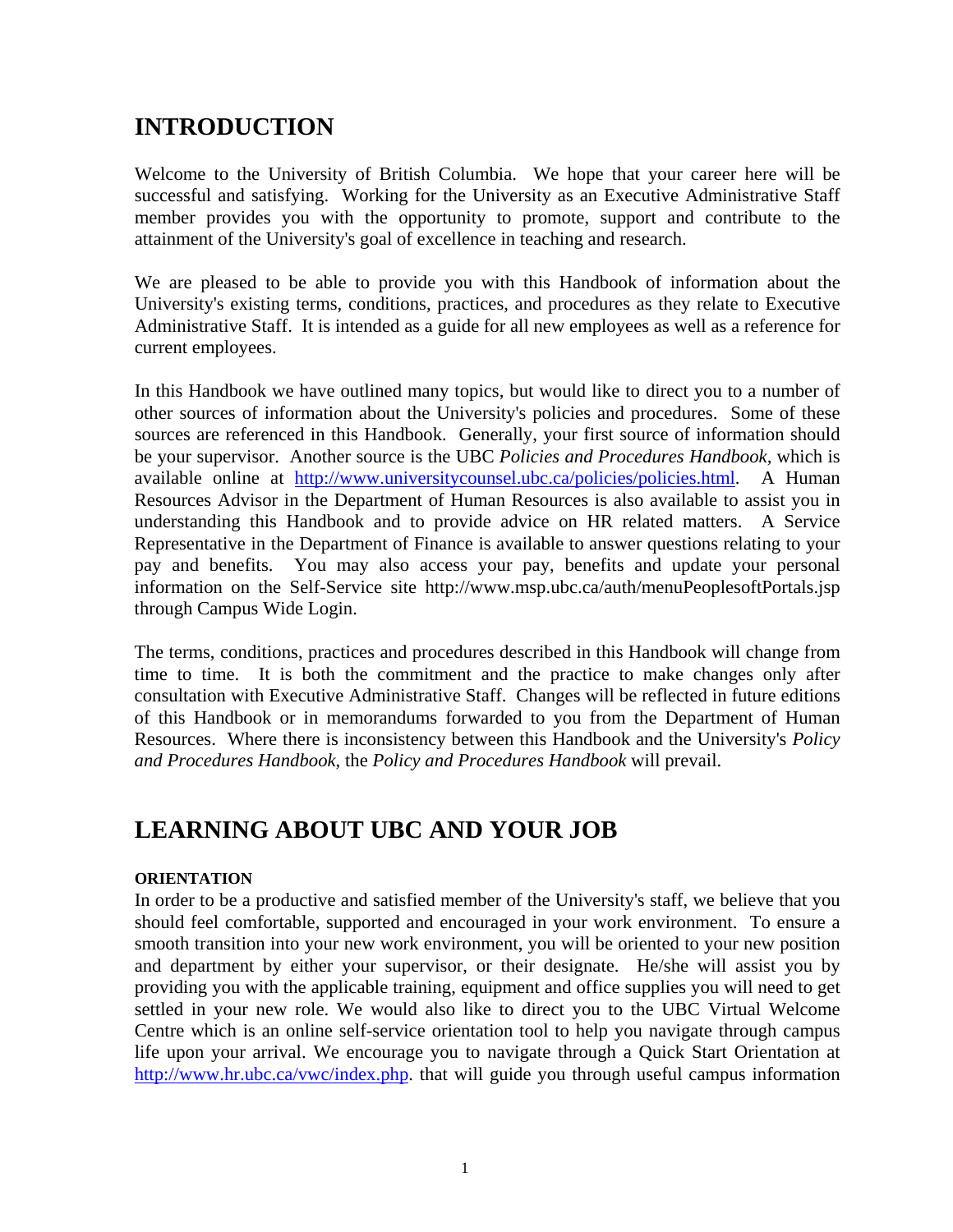## **INTRODUCTION**

Welcome to the University of British Columbia. We hope that your career here will be successful and satisfying. Working for the University as an Executive Administrative Staff member provides you with the opportunity to promote, support and contribute to the attainment of the University's goal of excellence in teaching and research.

We are pleased to be able to provide you with this Handbook of information about the University's existing terms, conditions, practices, and procedures as they relate to Executive Administrative Staff. It is intended as a guide for all new employees as well as a reference for current employees.

In this Handbook we have outlined many topics, but would like to direct you to a number of other sources of information about the University's policies and procedures. Some of these sources are referenced in this Handbook. Generally, your first source of information should be your supervisor. Another source is the UBC *Policies and Procedures Handbook,* which is available online at http://www.universitycounsel.ubc.ca/policies/policies.html. A Human Resources Advisor in the Department of Human Resources is also available to assist you in understanding this Handbook and to provide advice on HR related matters. A Service Representative in the Department of Finance is available to answer questions relating to your pay and benefits. You may also access your pay, benefits and update your personal information on the Self-Service site http://www.msp.ubc.ca/auth/menuPeoplesoftPortals.jsp through Campus Wide Login.

The terms, conditions, practices and procedures described in this Handbook will change from time to time. It is both the commitment and the practice to make changes only after consultation with Executive Administrative Staff. Changes will be reflected in future editions of this Handbook or in memorandums forwarded to you from the Department of Human Resources. Where there is inconsistency between this Handbook and the University's *Policy and Procedures Handbook*, the *Policy and Procedures Handbook* will prevail.

## **LEARNING ABOUT UBC AND YOUR JOB**

### **ORIENTATION**

In order to be a productive and satisfied member of the University's staff, we believe that you should feel comfortable, supported and encouraged in your work environment. To ensure a smooth transition into your new work environment, you will be oriented to your new position and department by either your supervisor, or their designate. He/she will assist you by providing you with the applicable training, equipment and office supplies you will need to get settled in your new role. We would also like to direct you to the UBC Virtual Welcome Centre which is an online self-service orientation tool to help you navigate through campus life upon your arrival. We encourage you to navigate through a Quick Start Orientation at http://www.hr.ubc.ca/vwc/index.php. that will guide you through useful campus information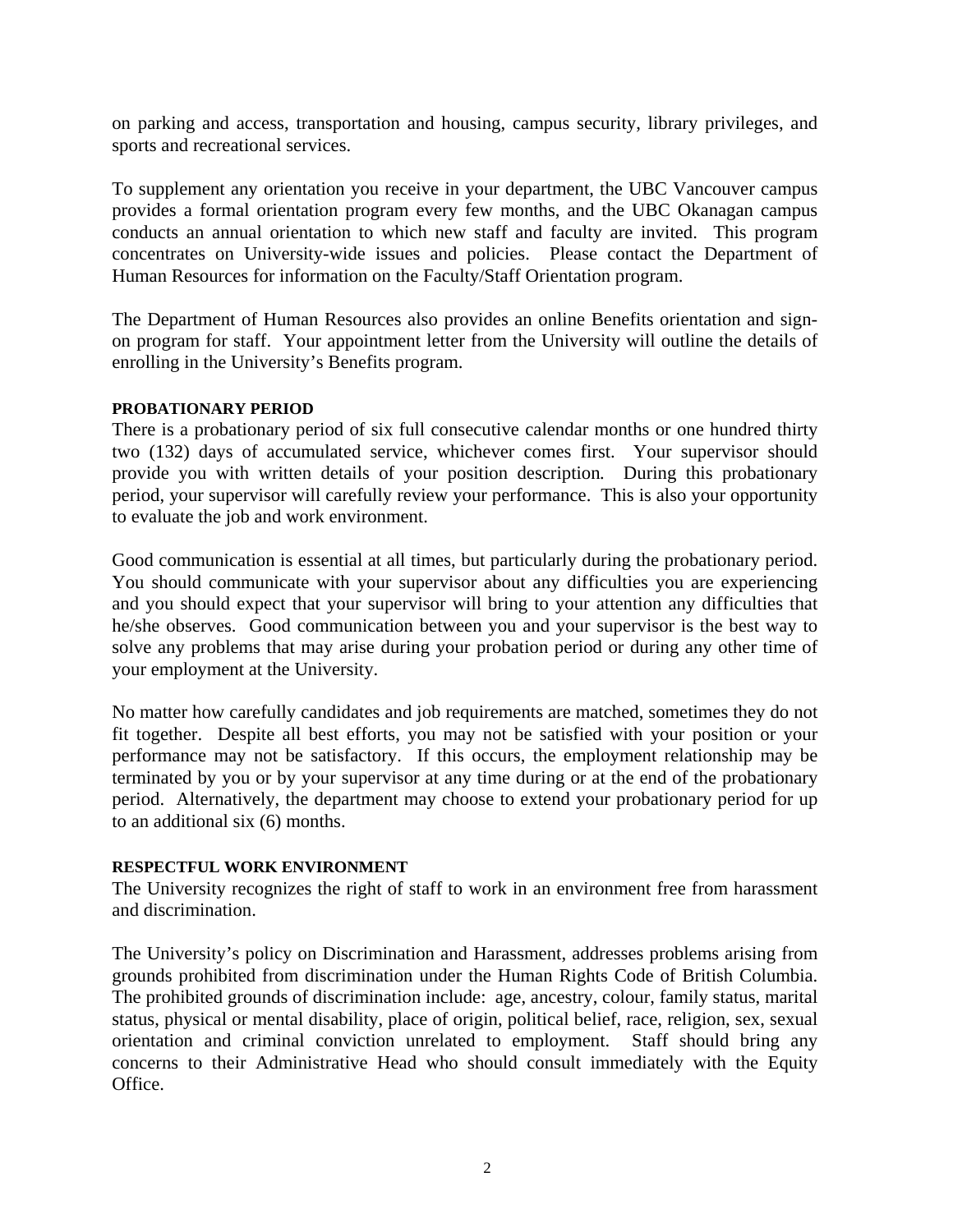on parking and access, transportation and housing, campus security, library privileges, and sports and recreational services.

To supplement any orientation you receive in your department, the UBC Vancouver campus provides a formal orientation program every few months, and the UBC Okanagan campus conducts an annual orientation to which new staff and faculty are invited. This program concentrates on University-wide issues and policies. Please contact the Department of Human Resources for information on the Faculty/Staff Orientation program.

The Department of Human Resources also provides an online Benefits orientation and signon program for staff. Your appointment letter from the University will outline the details of enrolling in the University's Benefits program.

#### **PROBATIONARY PERIOD**

There is a probationary period of six full consecutive calendar months or one hundred thirty two (132) days of accumulated service, whichever comes first. Your supervisor should provide you with written details of your position description*.* During this probationary period, your supervisor will carefully review your performance. This is also your opportunity to evaluate the job and work environment.

Good communication is essential at all times, but particularly during the probationary period. You should communicate with your supervisor about any difficulties you are experiencing and you should expect that your supervisor will bring to your attention any difficulties that he/she observes. Good communication between you and your supervisor is the best way to solve any problems that may arise during your probation period or during any other time of your employment at the University.

No matter how carefully candidates and job requirements are matched, sometimes they do not fit together. Despite all best efforts, you may not be satisfied with your position or your performance may not be satisfactory. If this occurs, the employment relationship may be terminated by you or by your supervisor at any time during or at the end of the probationary period. Alternatively, the department may choose to extend your probationary period for up to an additional six (6) months.

### **RESPECTFUL WORK ENVIRONMENT**

The University recognizes the right of staff to work in an environment free from harassment and discrimination.

The University's policy on Discrimination and Harassment, addresses problems arising from grounds prohibited from discrimination under the Human Rights Code of British Columbia. The prohibited grounds of discrimination include: age, ancestry, colour, family status, marital status, physical or mental disability, place of origin, political belief, race, religion, sex, sexual orientation and criminal conviction unrelated to employment. Staff should bring any concerns to their Administrative Head who should consult immediately with the Equity Office.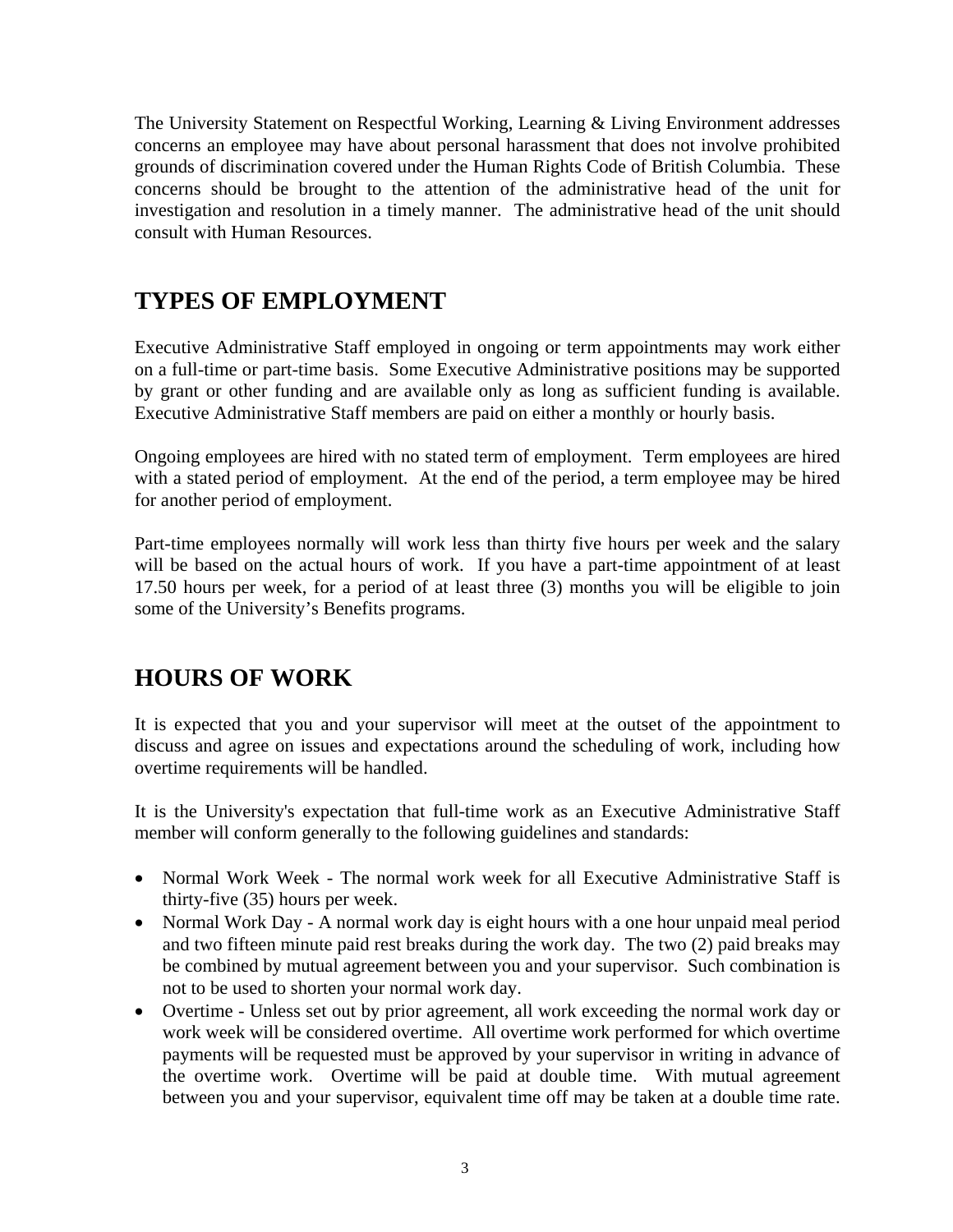The University Statement on Respectful Working, Learning & Living Environment addresses concerns an employee may have about personal harassment that does not involve prohibited grounds of discrimination covered under the Human Rights Code of British Columbia. These concerns should be brought to the attention of the administrative head of the unit for investigation and resolution in a timely manner. The administrative head of the unit should consult with Human Resources.

# **TYPES OF EMPLOYMENT**

Executive Administrative Staff employed in ongoing or term appointments may work either on a full-time or part-time basis. Some Executive Administrative positions may be supported by grant or other funding and are available only as long as sufficient funding is available. Executive Administrative Staff members are paid on either a monthly or hourly basis.

Ongoing employees are hired with no stated term of employment. Term employees are hired with a stated period of employment. At the end of the period, a term employee may be hired for another period of employment.

Part-time employees normally will work less than thirty five hours per week and the salary will be based on the actual hours of work. If you have a part-time appointment of at least 17.50 hours per week, for a period of at least three (3) months you will be eligible to join some of the University's Benefits programs.

# **HOURS OF WORK**

It is expected that you and your supervisor will meet at the outset of the appointment to discuss and agree on issues and expectations around the scheduling of work, including how overtime requirements will be handled.

It is the University's expectation that full-time work as an Executive Administrative Staff member will conform generally to the following guidelines and standards:

- Normal Work Week The normal work week for all Executive Administrative Staff is thirty-five (35) hours per week.
- Normal Work Day A normal work day is eight hours with a one hour unpaid meal period and two fifteen minute paid rest breaks during the work day. The two (2) paid breaks may be combined by mutual agreement between you and your supervisor. Such combination is not to be used to shorten your normal work day.
- Overtime Unless set out by prior agreement, all work exceeding the normal work day or work week will be considered overtime. All overtime work performed for which overtime payments will be requested must be approved by your supervisor in writing in advance of the overtime work. Overtime will be paid at double time. With mutual agreement between you and your supervisor, equivalent time off may be taken at a double time rate.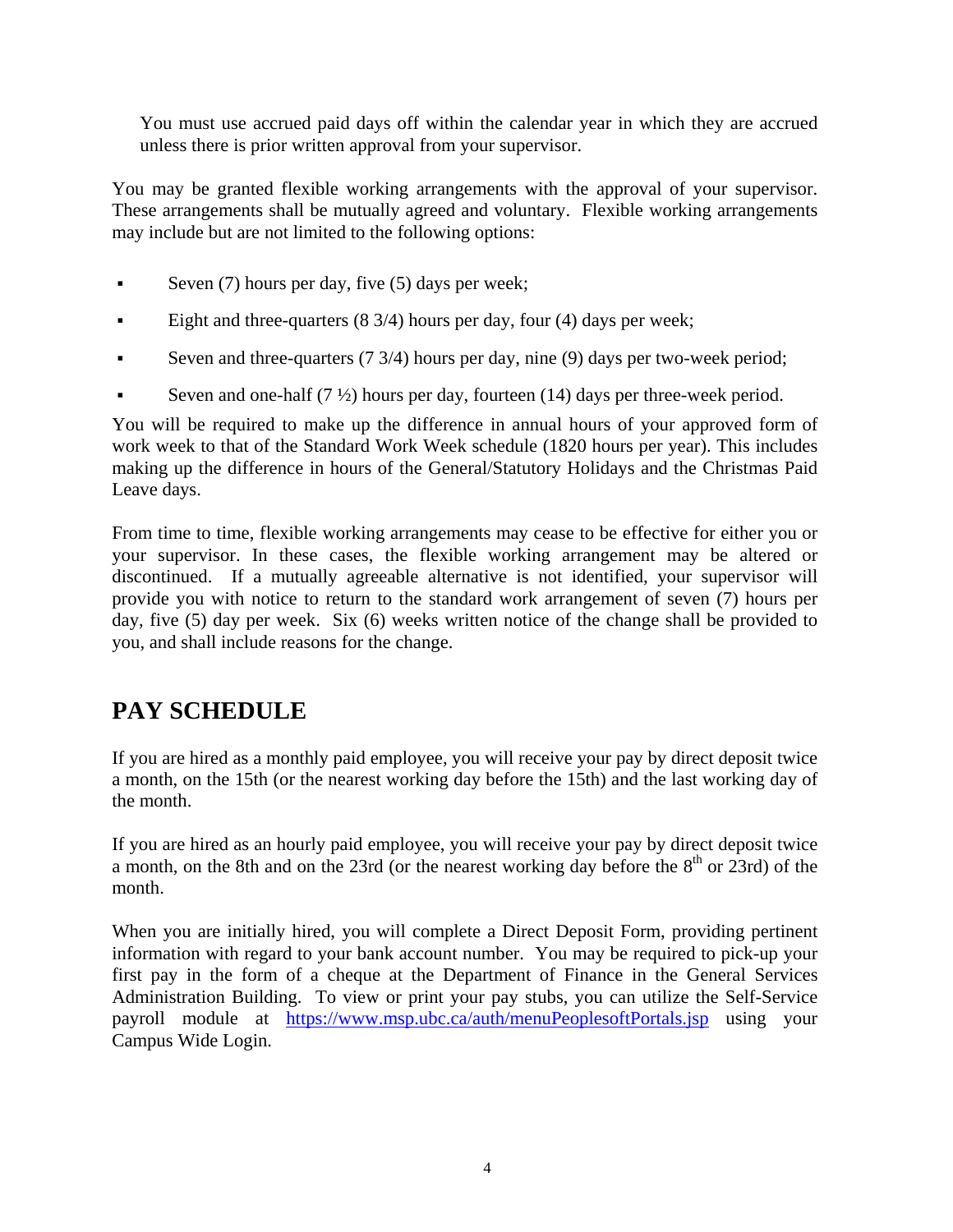You must use accrued paid days off within the calendar year in which they are accrued unless there is prior written approval from your supervisor.

You may be granted flexible working arrangements with the approval of your supervisor. These arrangements shall be mutually agreed and voluntary. Flexible working arrangements may include but are not limited to the following options:

- Seven (7) hours per day, five (5) days per week;
- Eight and three-quarters (8 3/4) hours per day, four (4) days per week;
- Seven and three-quarters  $(7 \frac{3}{4})$  hours per day, nine  $(9)$  days per two-week period;
- Seven and one-half  $(7 \frac{1}{2})$  hours per day, fourteen (14) days per three-week period.

You will be required to make up the difference in annual hours of your approved form of work week to that of the Standard Work Week schedule (1820 hours per year). This includes making up the difference in hours of the General/Statutory Holidays and the Christmas Paid Leave days.

From time to time, flexible working arrangements may cease to be effective for either you or your supervisor. In these cases, the flexible working arrangement may be altered or discontinued. If a mutually agreeable alternative is not identified, your supervisor will provide you with notice to return to the standard work arrangement of seven (7) hours per day, five (5) day per week. Six (6) weeks written notice of the change shall be provided to you, and shall include reasons for the change.

# **PAY SCHEDULE**

If you are hired as a monthly paid employee, you will receive your pay by direct deposit twice a month, on the 15th (or the nearest working day before the 15th) and the last working day of the month.

If you are hired as an hourly paid employee, you will receive your pay by direct deposit twice a month, on the 8th and on the 23rd (or the nearest working day before the  $8<sup>th</sup>$  or 23rd) of the month.

When you are initially hired, you will complete a Direct Deposit Form, providing pertinent information with regard to your bank account number. You may be required to pick-up your first pay in the form of a cheque at the Department of Finance in the General Services Administration Building. To view or print your pay stubs, you can utilize the Self-Service payroll module at https://www.msp.ubc.ca/auth/menuPeoplesoftPortals.jsp using your Campus Wide Login.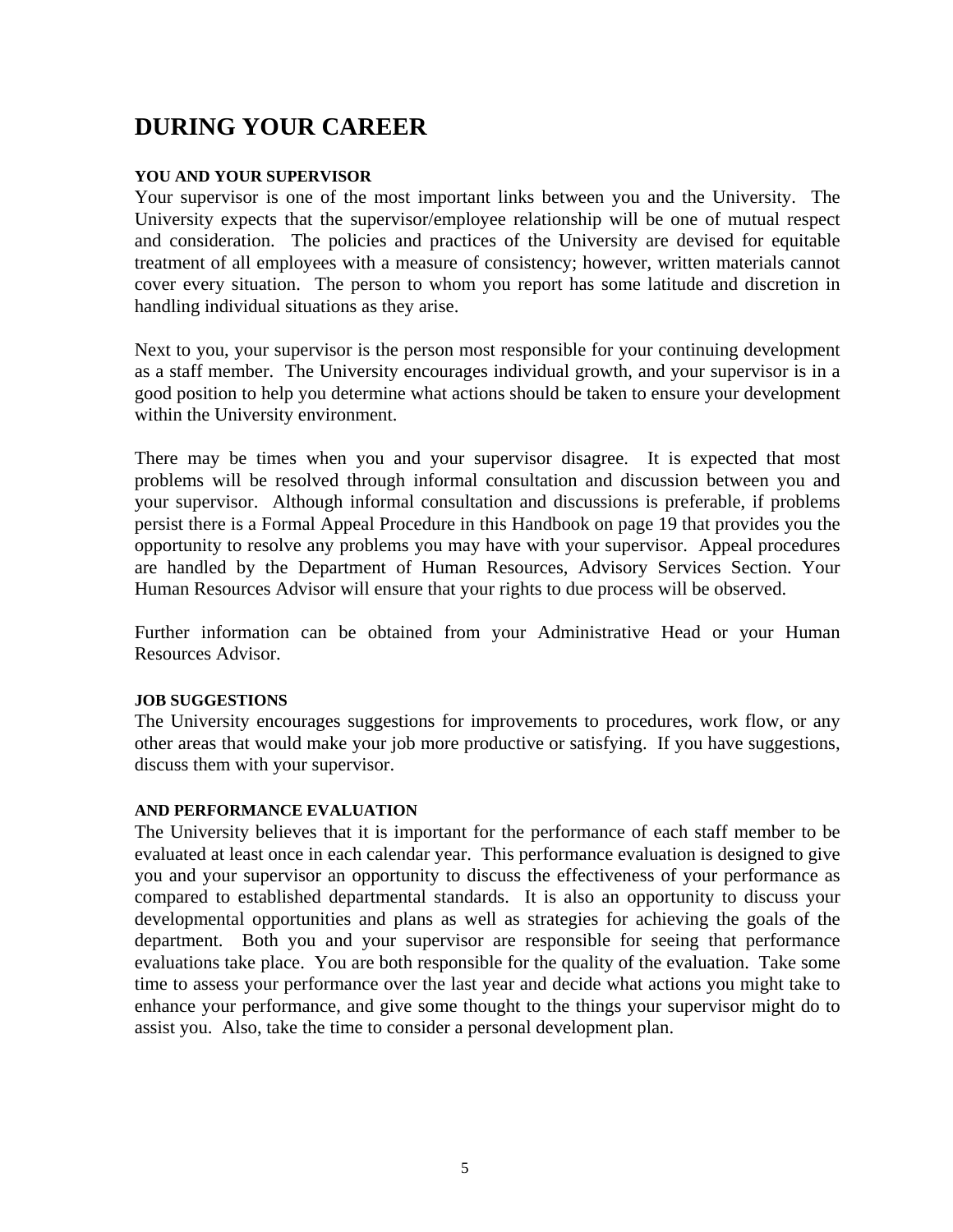# **DURING YOUR CAREER**

### **YOU AND YOUR SUPERVISOR**

Your supervisor is one of the most important links between you and the University. The University expects that the supervisor/employee relationship will be one of mutual respect and consideration. The policies and practices of the University are devised for equitable treatment of all employees with a measure of consistency; however, written materials cannot cover every situation. The person to whom you report has some latitude and discretion in handling individual situations as they arise.

Next to you, your supervisor is the person most responsible for your continuing development as a staff member. The University encourages individual growth, and your supervisor is in a good position to help you determine what actions should be taken to ensure your development within the University environment.

There may be times when you and your supervisor disagree. It is expected that most problems will be resolved through informal consultation and discussion between you and your supervisor. Although informal consultation and discussions is preferable, if problems persist there is a Formal Appeal Procedure in this Handbook on page 19 that provides you the opportunity to resolve any problems you may have with your supervisor. Appeal procedures are handled by the Department of Human Resources, Advisory Services Section. Your Human Resources Advisor will ensure that your rights to due process will be observed.

Further information can be obtained from your Administrative Head or your Human Resources Advisor.

### **JOB SUGGESTIONS**

The University encourages suggestions for improvements to procedures, work flow, or any other areas that would make your job more productive or satisfying. If you have suggestions, discuss them with your supervisor.

#### **AND PERFORMANCE EVALUATION**

The University believes that it is important for the performance of each staff member to be evaluated at least once in each calendar year. This performance evaluation is designed to give you and your supervisor an opportunity to discuss the effectiveness of your performance as compared to established departmental standards. It is also an opportunity to discuss your developmental opportunities and plans as well as strategies for achieving the goals of the department. Both you and your supervisor are responsible for seeing that performance evaluations take place. You are both responsible for the quality of the evaluation. Take some time to assess your performance over the last year and decide what actions you might take to enhance your performance, and give some thought to the things your supervisor might do to assist you. Also, take the time to consider a personal development plan.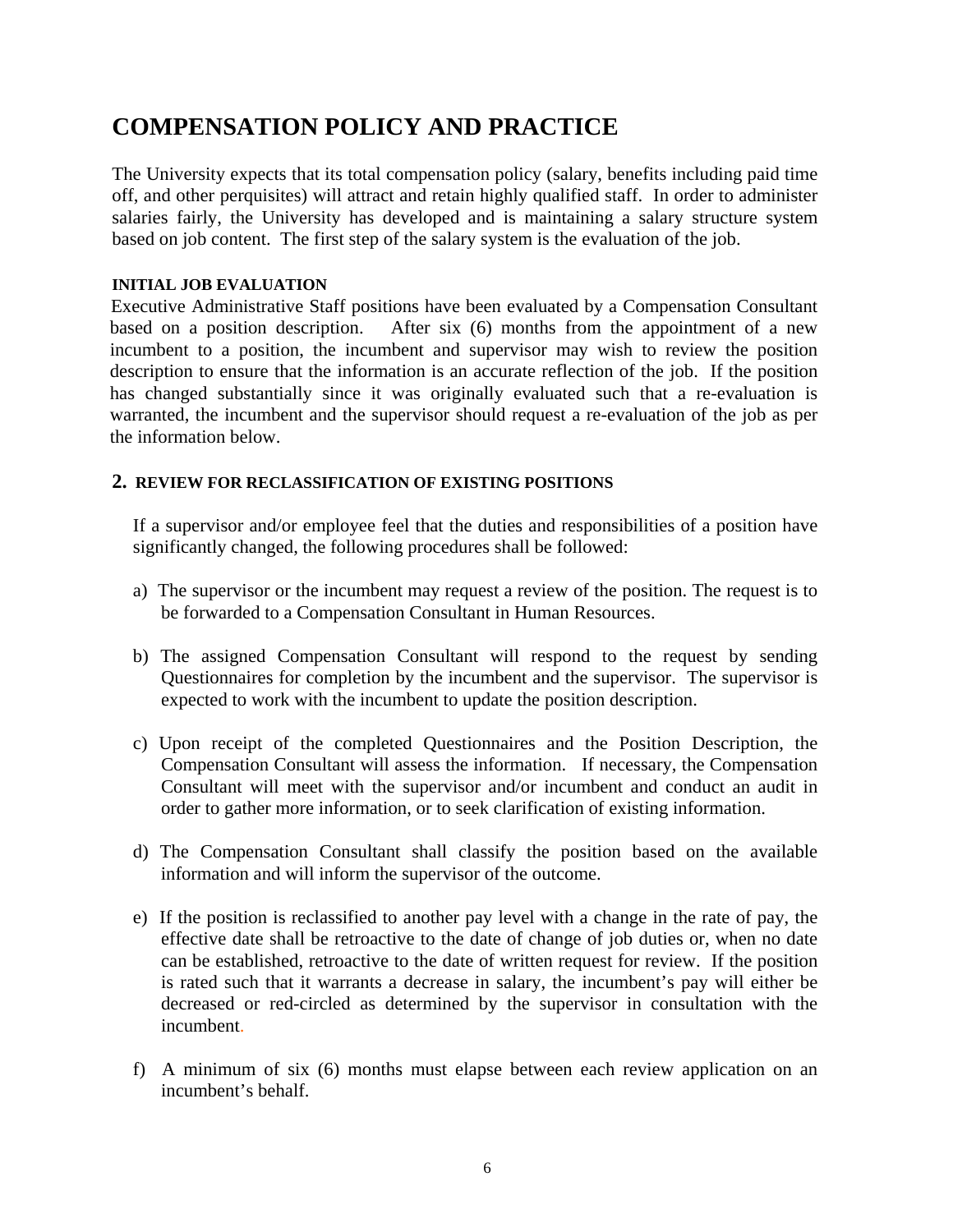# **COMPENSATION POLICY AND PRACTICE**

The University expects that its total compensation policy (salary, benefits including paid time off, and other perquisites) will attract and retain highly qualified staff. In order to administer salaries fairly, the University has developed and is maintaining a salary structure system based on job content. The first step of the salary system is the evaluation of the job.

### **INITIAL JOB EVALUATION**

Executive Administrative Staff positions have been evaluated by a Compensation Consultant based on a position description. After six (6) months from the appointment of a new incumbent to a position, the incumbent and supervisor may wish to review the position description to ensure that the information is an accurate reflection of the job. If the position has changed substantially since it was originally evaluated such that a re-evaluation is warranted, the incumbent and the supervisor should request a re-evaluation of the job as per the information below.

## **2. REVIEW FOR RECLASSIFICATION OF EXISTING POSITIONS**

If a supervisor and/or employee feel that the duties and responsibilities of a position have significantly changed, the following procedures shall be followed:

- a) The supervisor or the incumbent may request a review of the position. The request is to be forwarded to a Compensation Consultant in Human Resources.
- b) The assigned Compensation Consultant will respond to the request by sending Questionnaires for completion by the incumbent and the supervisor. The supervisor is expected to work with the incumbent to update the position description.
- c) Upon receipt of the completed Questionnaires and the Position Description, the Compensation Consultant will assess the information. If necessary, the Compensation Consultant will meet with the supervisor and/or incumbent and conduct an audit in order to gather more information, or to seek clarification of existing information.
- d) The Compensation Consultant shall classify the position based on the available information and will inform the supervisor of the outcome.
- e) If the position is reclassified to another pay level with a change in the rate of pay, the effective date shall be retroactive to the date of change of job duties or, when no date can be established, retroactive to the date of written request for review. If the position is rated such that it warrants a decrease in salary, the incumbent's pay will either be decreased or red-circled as determined by the supervisor in consultation with the incumbent.
- f) A minimum of six (6) months must elapse between each review application on an incumbent's behalf.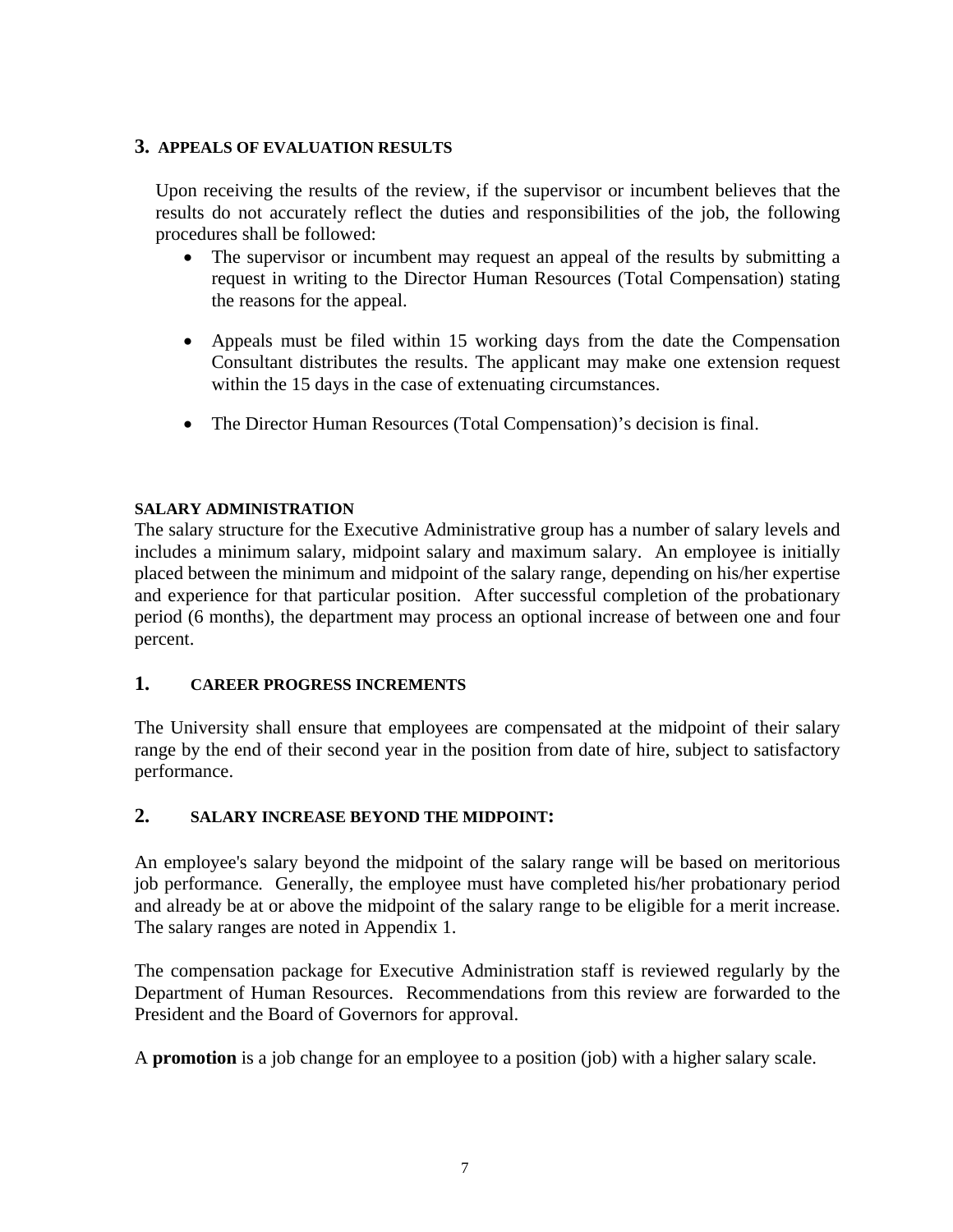### **3. APPEALS OF EVALUATION RESULTS**

Upon receiving the results of the review, if the supervisor or incumbent believes that the results do not accurately reflect the duties and responsibilities of the job, the following procedures shall be followed:

- The supervisor or incumbent may request an appeal of the results by submitting a request in writing to the Director Human Resources (Total Compensation) stating the reasons for the appeal.
- Appeals must be filed within 15 working days from the date the Compensation Consultant distributes the results. The applicant may make one extension request within the 15 days in the case of extenuating circumstances.
- The Director Human Resources (Total Compensation)'s decision is final.

### **SALARY ADMINISTRATION**

The salary structure for the Executive Administrative group has a number of salary levels and includes a minimum salary, midpoint salary and maximum salary. An employee is initially placed between the minimum and midpoint of the salary range, depending on his/her expertise and experience for that particular position. After successful completion of the probationary period (6 months), the department may process an optional increase of between one and four percent.

## **1. CAREER PROGRESS INCREMENTS**

The University shall ensure that employees are compensated at the midpoint of their salary range by the end of their second year in the position from date of hire, subject to satisfactory performance.

## **2. SALARY INCREASE BEYOND THE MIDPOINT:**

An employee's salary beyond the midpoint of the salary range will be based on meritorious job performance*.* Generally, the employee must have completed his/her probationary period and already be at or above the midpoint of the salary range to be eligible for a merit increase. The salary ranges are noted in Appendix 1.

The compensation package for Executive Administration staff is reviewed regularly by the Department of Human Resources. Recommendations from this review are forwarded to the President and the Board of Governors for approval.

A **promotion** is a job change for an employee to a position (job) with a higher salary scale.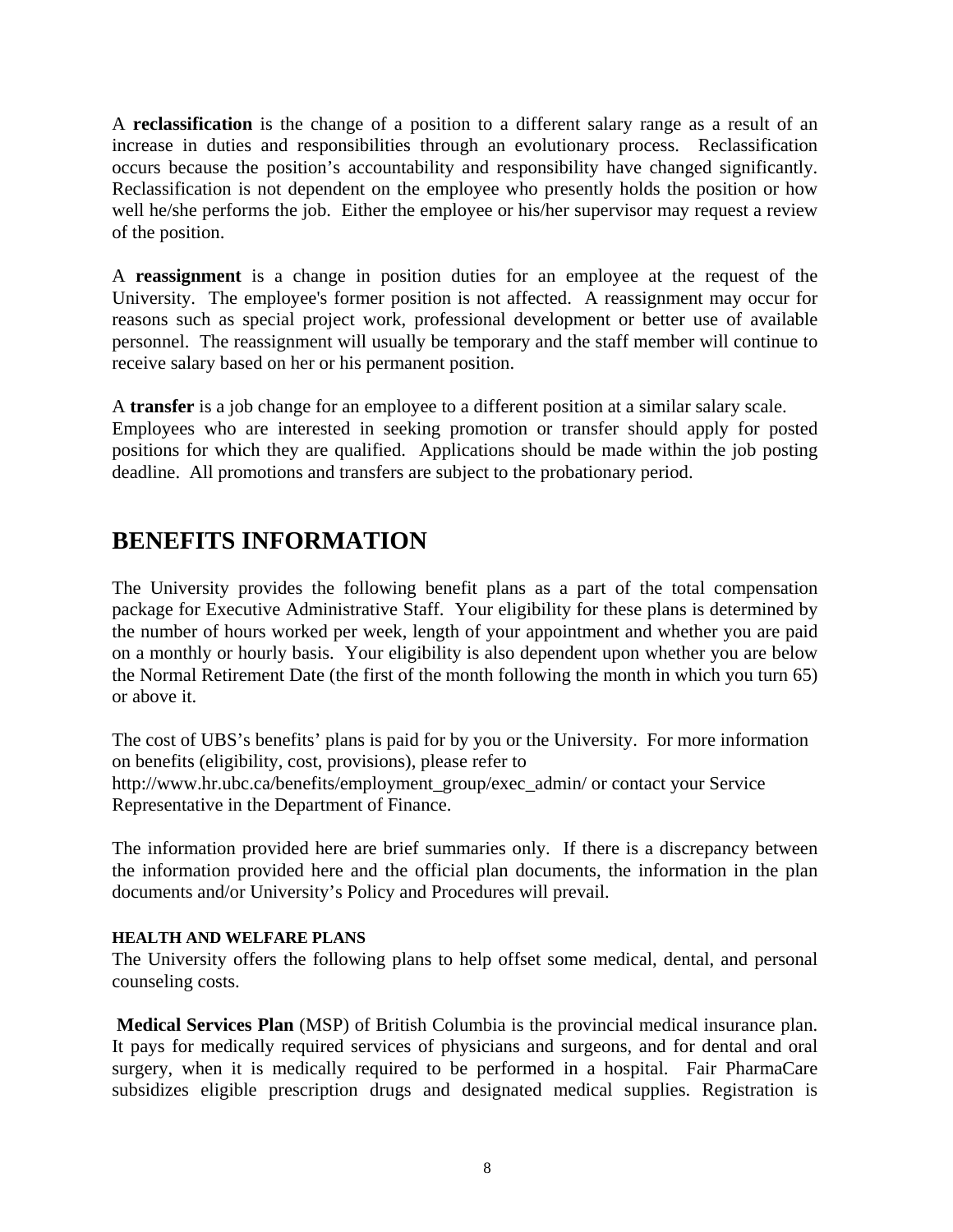A **reclassification** is the change of a position to a different salary range as a result of an increase in duties and responsibilities through an evolutionary process. Reclassification occurs because the position's accountability and responsibility have changed significantly. Reclassification is not dependent on the employee who presently holds the position or how well he/she performs the job. Either the employee or his/her supervisor may request a review of the position.

A **reassignment** is a change in position duties for an employee at the request of the University. The employee's former position is not affected. A reassignment may occur for reasons such as special project work, professional development or better use of available personnel. The reassignment will usually be temporary and the staff member will continue to receive salary based on her or his permanent position.

A **transfer** is a job change for an employee to a different position at a similar salary scale. Employees who are interested in seeking promotion or transfer should apply for posted positions for which they are qualified. Applications should be made within the job posting deadline. All promotions and transfers are subject to the probationary period.

## **BENEFITS INFORMATION**

The University provides the following benefit plans as a part of the total compensation package for Executive Administrative Staff. Your eligibility for these plans is determined by the number of hours worked per week, length of your appointment and whether you are paid on a monthly or hourly basis. Your eligibility is also dependent upon whether you are below the Normal Retirement Date (the first of the month following the month in which you turn 65) or above it.

The cost of UBS's benefits' plans is paid for by you or the University. For more information on benefits (eligibility, cost, provisions), please refer to http://www.hr.ubc.ca/benefits/employment\_group/exec\_admin/ or contact your Service Representative in the Department of Finance.

The information provided here are brief summaries only. If there is a discrepancy between the information provided here and the official plan documents, the information in the plan documents and/or University's Policy and Procedures will prevail.

### **HEALTH AND WELFARE PLANS**

The University offers the following plans to help offset some medical, dental, and personal counseling costs.

**Medical Services Plan** (MSP) of British Columbia is the provincial medical insurance plan. It pays for medically required services of physicians and surgeons, and for dental and oral surgery, when it is medically required to be performed in a hospital. Fair PharmaCare subsidizes eligible prescription drugs and designated medical supplies. Registration is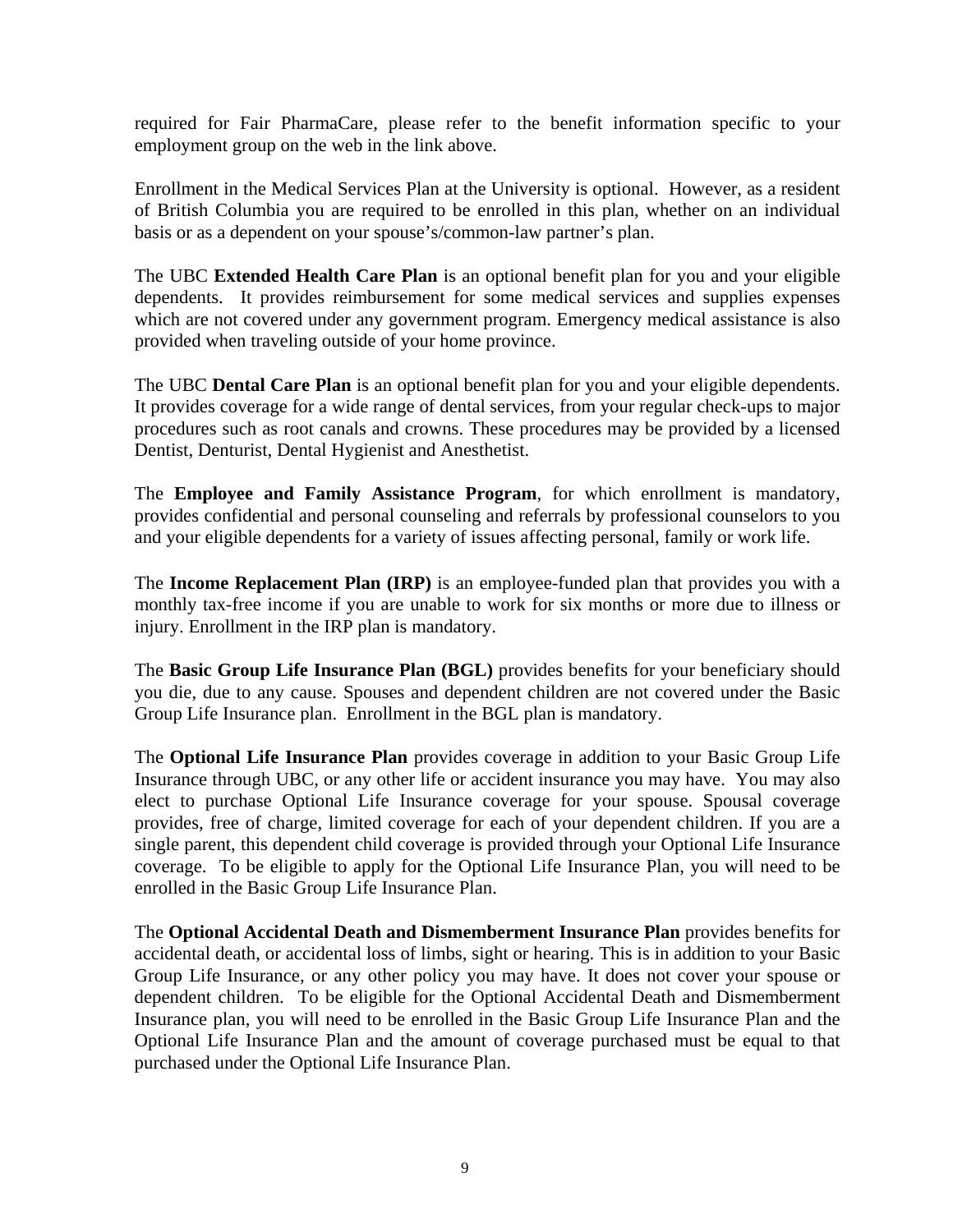required for Fair PharmaCare, please refer to the benefit information specific to your employment group on the web in the link above.

Enrollment in the Medical Services Plan at the University is optional. However, as a resident of British Columbia you are required to be enrolled in this plan, whether on an individual basis or as a dependent on your spouse's/common-law partner's plan.

The UBC **Extended Health Care Plan** is an optional benefit plan for you and your eligible dependents. It provides reimbursement for some medical services and supplies expenses which are not covered under any government program. Emergency medical assistance is also provided when traveling outside of your home province.

The UBC **Dental Care Plan** is an optional benefit plan for you and your eligible dependents. It provides coverage for a wide range of dental services, from your regular check-ups to major procedures such as root canals and crowns. These procedures may be provided by a licensed Dentist, Denturist, Dental Hygienist and Anesthetist.

The **Employee and Family Assistance Program**, for which enrollment is mandatory, provides confidential and personal counseling and referrals by professional counselors to you and your eligible dependents for a variety of issues affecting personal, family or work life.

The **Income Replacement Plan (IRP)** is an employee-funded plan that provides you with a monthly tax-free income if you are unable to work for six months or more due to illness or injury. Enrollment in the IRP plan is mandatory.

The **Basic Group Life Insurance Plan (BGL)** provides benefits for your beneficiary should you die, due to any cause. Spouses and dependent children are not covered under the Basic Group Life Insurance plan. Enrollment in the BGL plan is mandatory.

The **Optional Life Insurance Plan** provides coverage in addition to your Basic Group Life Insurance through UBC, or any other life or accident insurance you may have. You may also elect to purchase Optional Life Insurance coverage for your spouse. Spousal coverage provides, free of charge, limited coverage for each of your dependent children. If you are a single parent, this dependent child coverage is provided through your Optional Life Insurance coverage. To be eligible to apply for the Optional Life Insurance Plan, you will need to be enrolled in the Basic Group Life Insurance Plan.

The **Optional Accidental Death and Dismemberment Insurance Plan** provides benefits for accidental death, or accidental loss of limbs, sight or hearing. This is in addition to your Basic Group Life Insurance, or any other policy you may have. It does not cover your spouse or dependent children. To be eligible for the Optional Accidental Death and Dismemberment Insurance plan, you will need to be enrolled in the Basic Group Life Insurance Plan and the Optional Life Insurance Plan and the amount of coverage purchased must be equal to that purchased under the Optional Life Insurance Plan.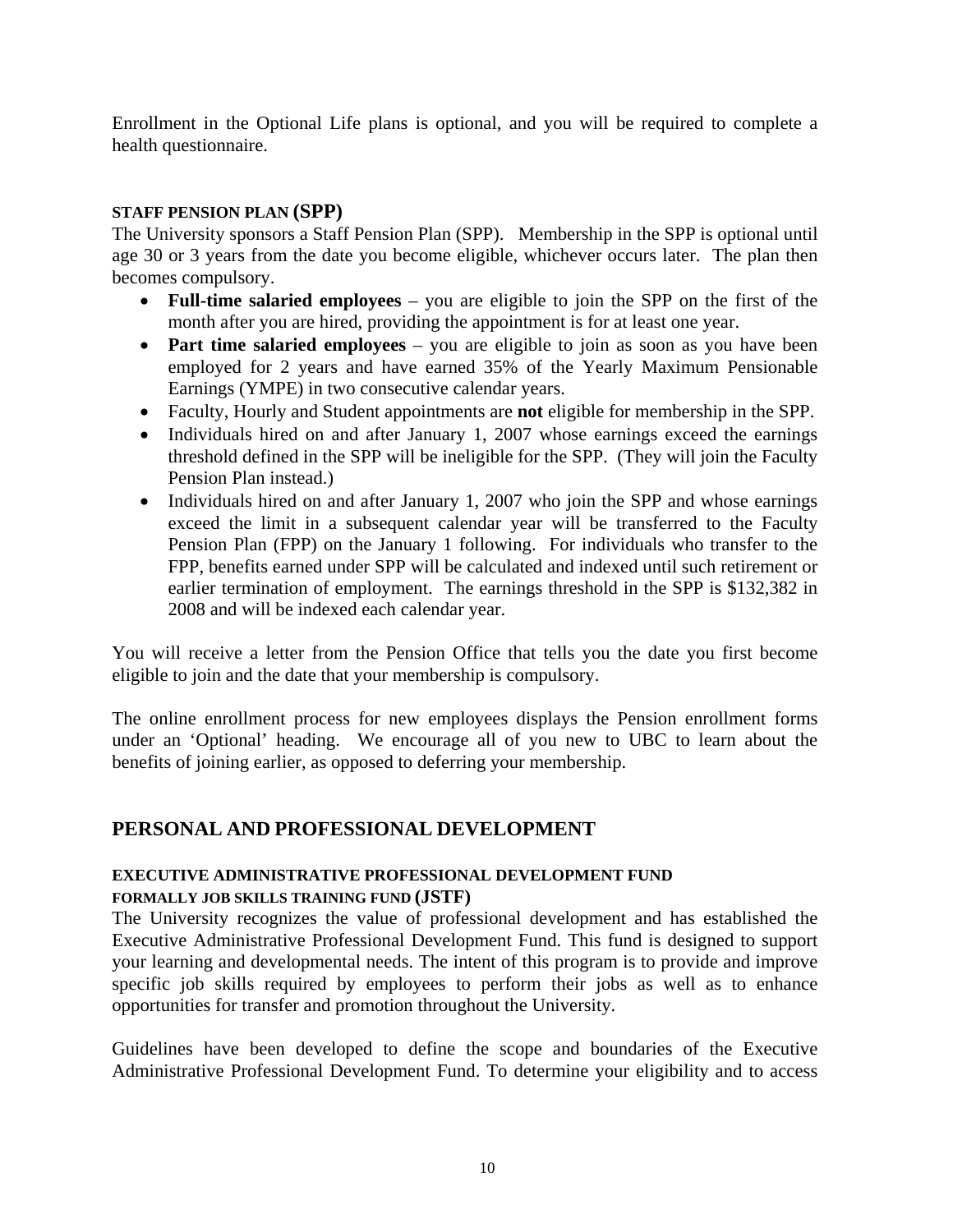Enrollment in the Optional Life plans is optional, and you will be required to complete a health questionnaire.

### **STAFF PENSION PLAN (SPP)**

The University sponsors a Staff Pension Plan (SPP). Membership in the SPP is optional until age 30 or 3 years from the date you become eligible, whichever occurs later. The plan then becomes compulsory.

- **Full-time salaried employees** you are eligible to join the SPP on the first of the month after you are hired, providing the appointment is for at least one year.
- **Part time salaried employees** you are eligible to join as soon as you have been employed for 2 years and have earned 35% of the Yearly Maximum Pensionable Earnings (YMPE) in two consecutive calendar years.
- Faculty, Hourly and Student appointments are **not** eligible for membership in the SPP.
- Individuals hired on and after January 1, 2007 whose earnings exceed the earnings threshold defined in the SPP will be ineligible for the SPP. (They will join the Faculty Pension Plan instead.)
- Individuals hired on and after January 1, 2007 who join the SPP and whose earnings exceed the limit in a subsequent calendar year will be transferred to the Faculty Pension Plan (FPP) on the January 1 following. For individuals who transfer to the FPP, benefits earned under SPP will be calculated and indexed until such retirement or earlier termination of employment. The earnings threshold in the SPP is \$132,382 in 2008 and will be indexed each calendar year.

You will receive a letter from the Pension Office that tells you the date you first become eligible to join and the date that your membership is compulsory.

The online enrollment process for new employees displays the Pension enrollment forms under an 'Optional' heading. We encourage all of you new to UBC to learn about the benefits of joining earlier, as opposed to deferring your membership.

## **PERSONAL AND PROFESSIONAL DEVELOPMENT**

#### **EXECUTIVE ADMINISTRATIVE PROFESSIONAL DEVELOPMENT FUND FORMALLY JOB SKILLS TRAINING FUND (JSTF)**

The University recognizes the value of professional development and has established the Executive Administrative Professional Development Fund. This fund is designed to support your learning and developmental needs. The intent of this program is to provide and improve specific job skills required by employees to perform their jobs as well as to enhance opportunities for transfer and promotion throughout the University.

Guidelines have been developed to define the scope and boundaries of the Executive Administrative Professional Development Fund. To determine your eligibility and to access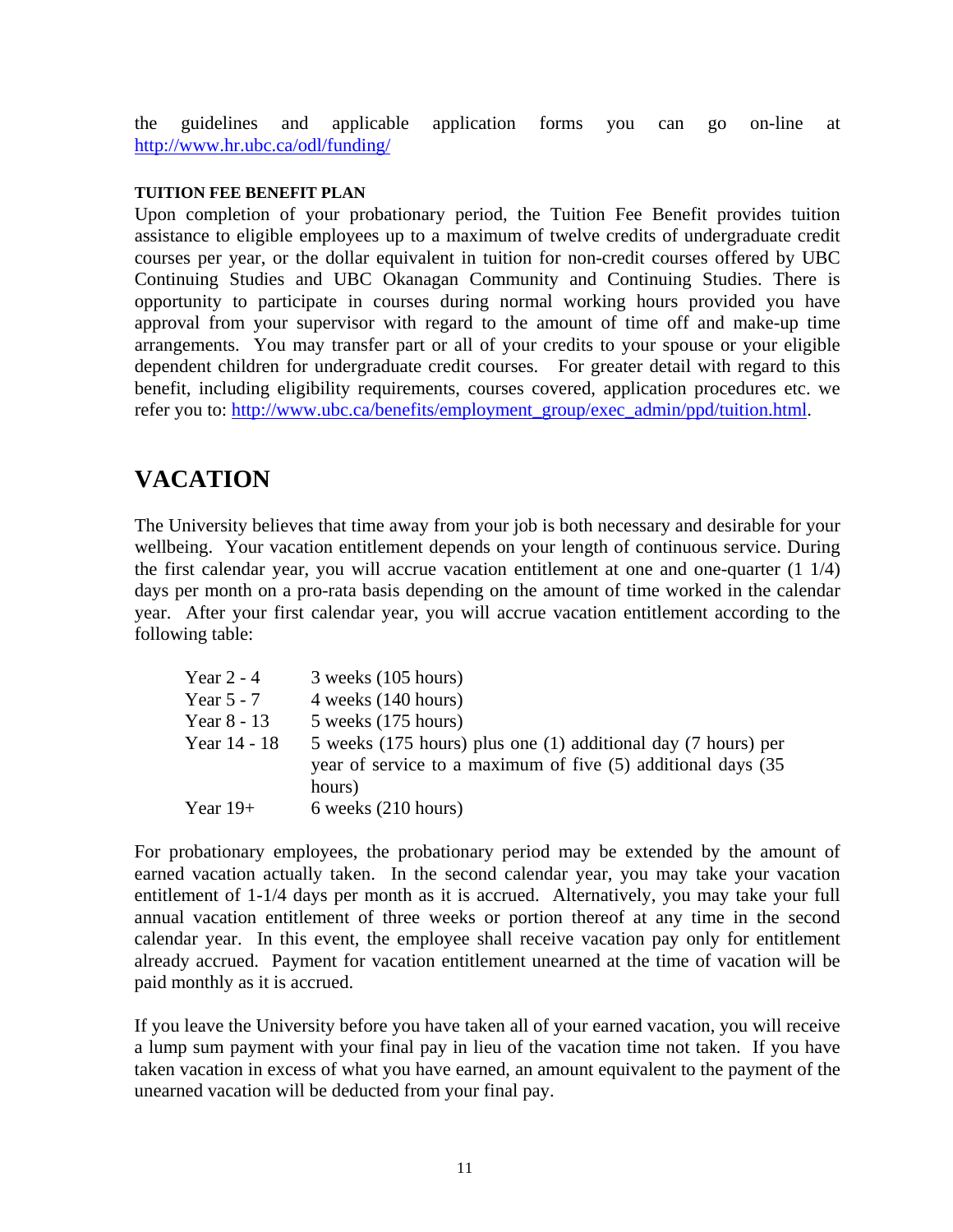the guidelines and applicable application forms you can go on-line at http://www.hr.ubc.ca/odl/funding/

#### **TUITION FEE BENEFIT PLAN**

Upon completion of your probationary period, the Tuition Fee Benefit provides tuition assistance to eligible employees up to a maximum of twelve credits of undergraduate credit courses per year, or the dollar equivalent in tuition for non-credit courses offered by UBC Continuing Studies and UBC Okanagan Community and Continuing Studies. There is opportunity to participate in courses during normal working hours provided you have approval from your supervisor with regard to the amount of time off and make-up time arrangements. You may transfer part or all of your credits to your spouse or your eligible dependent children for undergraduate credit courses. For greater detail with regard to this benefit, including eligibility requirements, courses covered, application procedures etc. we refer you to: http://www.ubc.ca/benefits/employment\_group/exec\_admin/ppd/tuition.html.

## **VACATION**

The University believes that time away from your job is both necessary and desirable for your wellbeing. Your vacation entitlement depends on your length of continuous service. During the first calendar year, you will accrue vacation entitlement at one and one-quarter (1 1/4) days per month on a pro-rata basis depending on the amount of time worked in the calendar year. After your first calendar year, you will accrue vacation entitlement according to the following table:

| Year $2 - 4$ | $3$ weeks $(105$ hours)                                                                                                        |
|--------------|--------------------------------------------------------------------------------------------------------------------------------|
| Year $5 - 7$ | $4$ weeks $(140$ hours)                                                                                                        |
| Year 8 - 13  | $5$ weeks $(175$ hours)                                                                                                        |
| Year 14 - 18 | 5 weeks (175 hours) plus one (1) additional day (7 hours) per<br>year of service to a maximum of five (5) additional days (35) |
|              | hours)                                                                                                                         |
| Year $19+$   | 6 weeks (210 hours)                                                                                                            |

For probationary employees, the probationary period may be extended by the amount of earned vacation actually taken. In the second calendar year, you may take your vacation entitlement of 1-1/4 days per month as it is accrued. Alternatively, you may take your full annual vacation entitlement of three weeks or portion thereof at any time in the second calendar year. In this event, the employee shall receive vacation pay only for entitlement already accrued. Payment for vacation entitlement unearned at the time of vacation will be paid monthly as it is accrued.

If you leave the University before you have taken all of your earned vacation, you will receive a lump sum payment with your final pay in lieu of the vacation time not taken. If you have taken vacation in excess of what you have earned, an amount equivalent to the payment of the unearned vacation will be deducted from your final pay.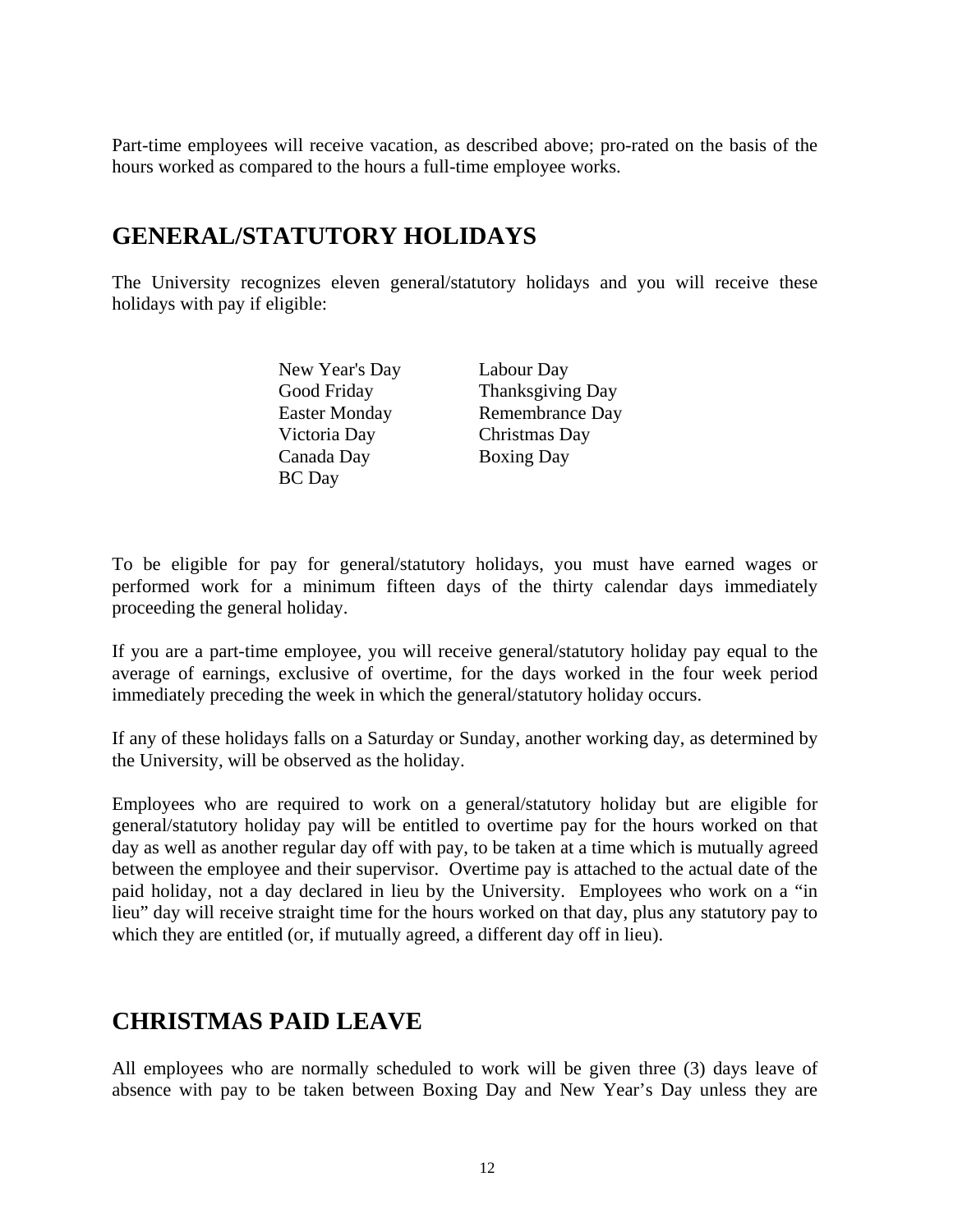Part-time employees will receive vacation, as described above; pro-rated on the basis of the hours worked as compared to the hours a full-time employee works.

## **GENERAL/STATUTORY HOLIDAYS**

The University recognizes eleven general/statutory holidays and you will receive these holidays with pay if eligible:

> New Year's Day Labour Day Victoria Day Christmas Day Canada Day Boxing Day BC Day

Good Friday Thanksgiving Day Easter Monday Remembrance Day

To be eligible for pay for general/statutory holidays, you must have earned wages or performed work for a minimum fifteen days of the thirty calendar days immediately proceeding the general holiday.

If you are a part-time employee, you will receive general/statutory holiday pay equal to the average of earnings, exclusive of overtime, for the days worked in the four week period immediately preceding the week in which the general/statutory holiday occurs.

If any of these holidays falls on a Saturday or Sunday, another working day, as determined by the University, will be observed as the holiday.

Employees who are required to work on a general/statutory holiday but are eligible for general/statutory holiday pay will be entitled to overtime pay for the hours worked on that day as well as another regular day off with pay, to be taken at a time which is mutually agreed between the employee and their supervisor. Overtime pay is attached to the actual date of the paid holiday, not a day declared in lieu by the University. Employees who work on a "in lieu" day will receive straight time for the hours worked on that day, plus any statutory pay to which they are entitled (or, if mutually agreed, a different day off in lieu).

## **CHRISTMAS PAID LEAVE**

All employees who are normally scheduled to work will be given three (3) days leave of absence with pay to be taken between Boxing Day and New Year's Day unless they are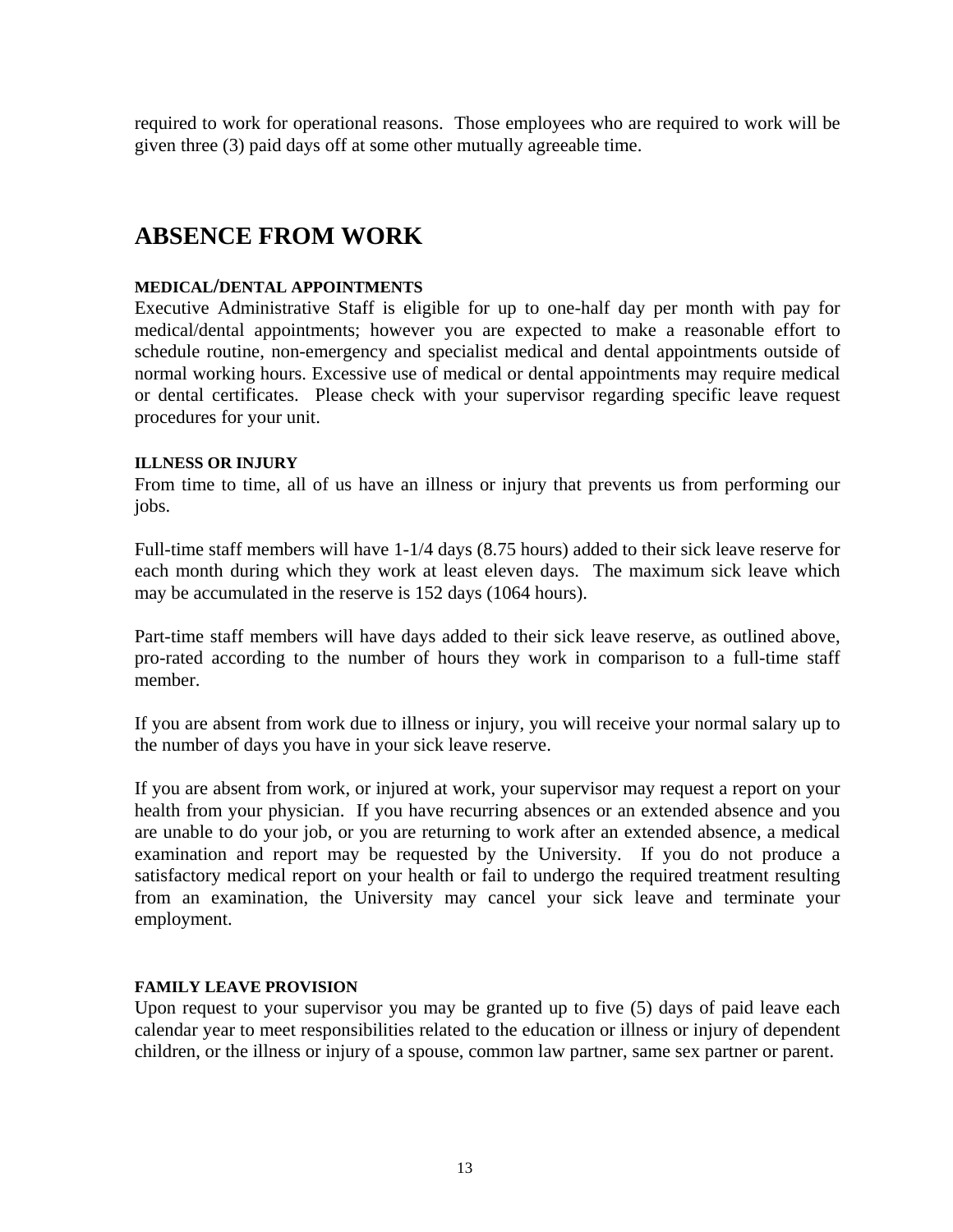required to work for operational reasons. Those employees who are required to work will be given three (3) paid days off at some other mutually agreeable time.

## **ABSENCE FROM WORK**

#### **MEDICAL/DENTAL APPOINTMENTS**

Executive Administrative Staff is eligible for up to one-half day per month with pay for medical/dental appointments; however you are expected to make a reasonable effort to schedule routine, non-emergency and specialist medical and dental appointments outside of normal working hours. Excessive use of medical or dental appointments may require medical or dental certificates. Please check with your supervisor regarding specific leave request procedures for your unit.

#### **ILLNESS OR INJURY**

From time to time, all of us have an illness or injury that prevents us from performing our jobs.

Full-time staff members will have 1-1/4 days (8.75 hours) added to their sick leave reserve for each month during which they work at least eleven days. The maximum sick leave which may be accumulated in the reserve is 152 days (1064 hours).

Part-time staff members will have days added to their sick leave reserve, as outlined above, pro-rated according to the number of hours they work in comparison to a full-time staff member.

If you are absent from work due to illness or injury, you will receive your normal salary up to the number of days you have in your sick leave reserve.

If you are absent from work, or injured at work, your supervisor may request a report on your health from your physician. If you have recurring absences or an extended absence and you are unable to do your job, or you are returning to work after an extended absence, a medical examination and report may be requested by the University. If you do not produce a satisfactory medical report on your health or fail to undergo the required treatment resulting from an examination, the University may cancel your sick leave and terminate your employment.

#### **FAMILY LEAVE PROVISION**

Upon request to your supervisor you may be granted up to five (5) days of paid leave each calendar year to meet responsibilities related to the education or illness or injury of dependent children, or the illness or injury of a spouse, common law partner, same sex partner or parent.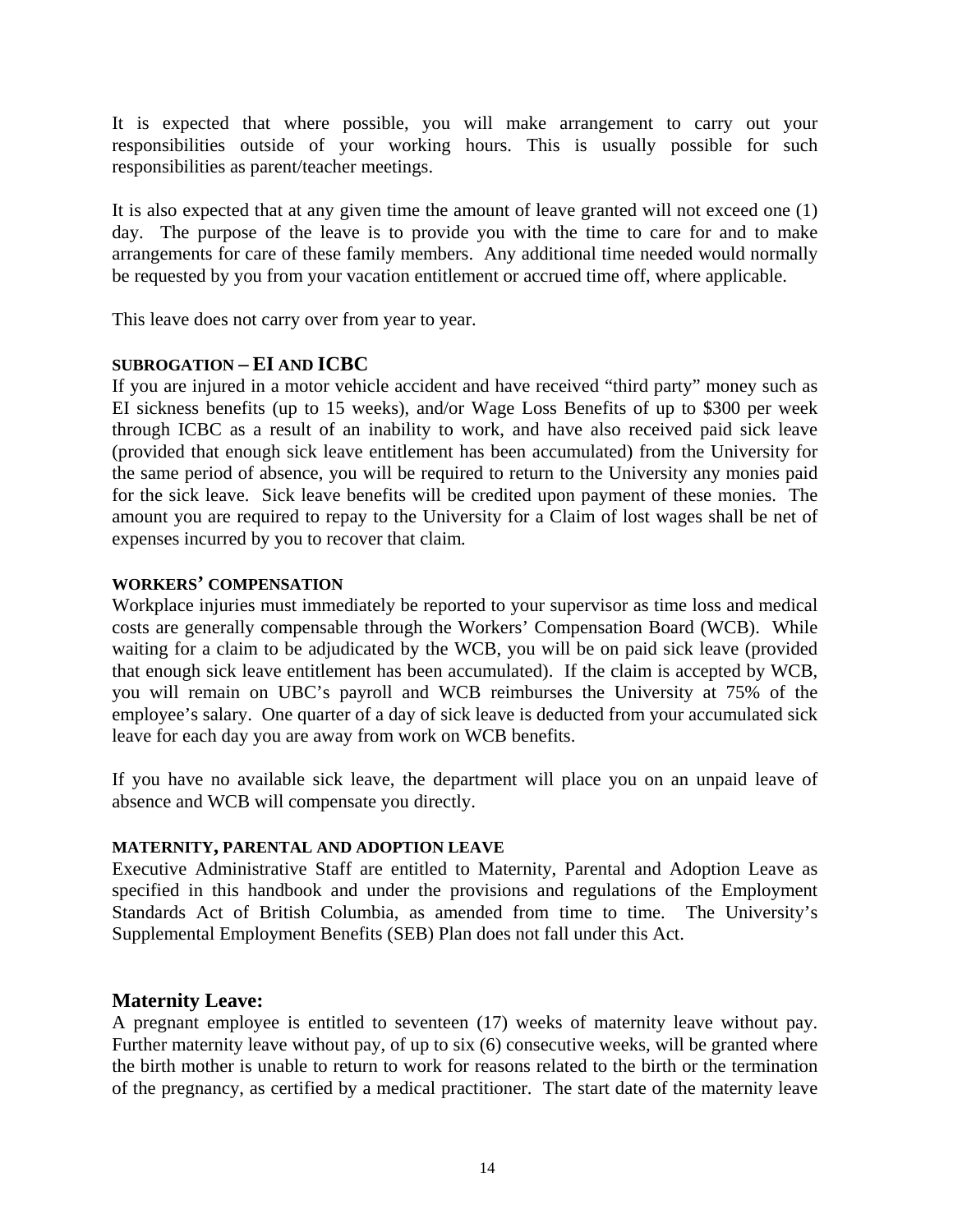It is expected that where possible, you will make arrangement to carry out your responsibilities outside of your working hours. This is usually possible for such responsibilities as parent/teacher meetings.

It is also expected that at any given time the amount of leave granted will not exceed one (1) day. The purpose of the leave is to provide you with the time to care for and to make arrangements for care of these family members. Any additional time needed would normally be requested by you from your vacation entitlement or accrued time off, where applicable.

This leave does not carry over from year to year.

### **SUBROGATION – EI AND ICBC**

If you are injured in a motor vehicle accident and have received "third party" money such as EI sickness benefits (up to 15 weeks), and/or Wage Loss Benefits of up to \$300 per week through ICBC as a result of an inability to work, and have also received paid sick leave (provided that enough sick leave entitlement has been accumulated) from the University for the same period of absence, you will be required to return to the University any monies paid for the sick leave. Sick leave benefits will be credited upon payment of these monies. The amount you are required to repay to the University for a Claim of lost wages shall be net of expenses incurred by you to recover that claim*.*

### **WORKERS' COMPENSATION**

Workplace injuries must immediately be reported to your supervisor as time loss and medical costs are generally compensable through the Workers' Compensation Board (WCB). While waiting for a claim to be adjudicated by the WCB, you will be on paid sick leave (provided that enough sick leave entitlement has been accumulated). If the claim is accepted by WCB, you will remain on UBC's payroll and WCB reimburses the University at 75% of the employee's salary. One quarter of a day of sick leave is deducted from your accumulated sick leave for each day you are away from work on WCB benefits.

If you have no available sick leave, the department will place you on an unpaid leave of absence and WCB will compensate you directly.

### **MATERNITY, PARENTAL AND ADOPTION LEAVE**

Executive Administrative Staff are entitled to Maternity, Parental and Adoption Leave as specified in this handbook and under the provisions and regulations of the Employment Standards Act of British Columbia, as amended from time to time. The University's Supplemental Employment Benefits (SEB) Plan does not fall under this Act.

## **Maternity Leave:**

A pregnant employee is entitled to seventeen (17) weeks of maternity leave without pay. Further maternity leave without pay, of up to six (6) consecutive weeks, will be granted where the birth mother is unable to return to work for reasons related to the birth or the termination of the pregnancy, as certified by a medical practitioner. The start date of the maternity leave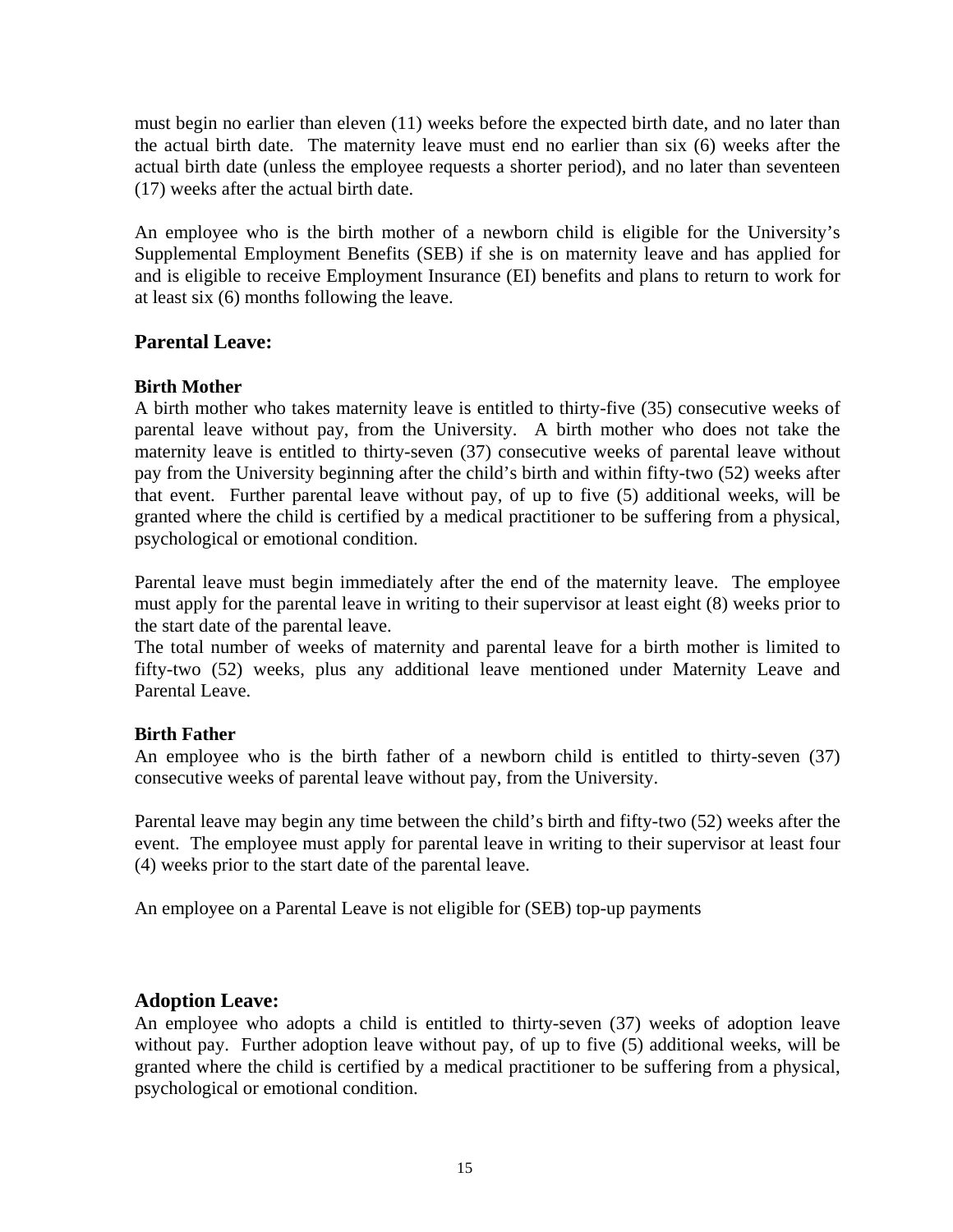must begin no earlier than eleven (11) weeks before the expected birth date, and no later than the actual birth date. The maternity leave must end no earlier than six (6) weeks after the actual birth date (unless the employee requests a shorter period), and no later than seventeen (17) weeks after the actual birth date.

An employee who is the birth mother of a newborn child is eligible for the University's Supplemental Employment Benefits (SEB) if she is on maternity leave and has applied for and is eligible to receive Employment Insurance (EI) benefits and plans to return to work for at least six (6) months following the leave.

## **Parental Leave:**

### **Birth Mother**

A birth mother who takes maternity leave is entitled to thirty-five (35) consecutive weeks of parental leave without pay, from the University. A birth mother who does not take the maternity leave is entitled to thirty-seven (37) consecutive weeks of parental leave without pay from the University beginning after the child's birth and within fifty-two (52) weeks after that event. Further parental leave without pay, of up to five (5) additional weeks, will be granted where the child is certified by a medical practitioner to be suffering from a physical, psychological or emotional condition.

Parental leave must begin immediately after the end of the maternity leave. The employee must apply for the parental leave in writing to their supervisor at least eight (8) weeks prior to the start date of the parental leave.

The total number of weeks of maternity and parental leave for a birth mother is limited to fifty-two (52) weeks, plus any additional leave mentioned under Maternity Leave and Parental Leave.

## **Birth Father**

An employee who is the birth father of a newborn child is entitled to thirty-seven (37) consecutive weeks of parental leave without pay, from the University.

Parental leave may begin any time between the child's birth and fifty-two (52) weeks after the event. The employee must apply for parental leave in writing to their supervisor at least four (4) weeks prior to the start date of the parental leave.

An employee on a Parental Leave is not eligible for (SEB) top-up payments

## **Adoption Leave:**

An employee who adopts a child is entitled to thirty-seven (37) weeks of adoption leave without pay. Further adoption leave without pay, of up to five (5) additional weeks, will be granted where the child is certified by a medical practitioner to be suffering from a physical, psychological or emotional condition.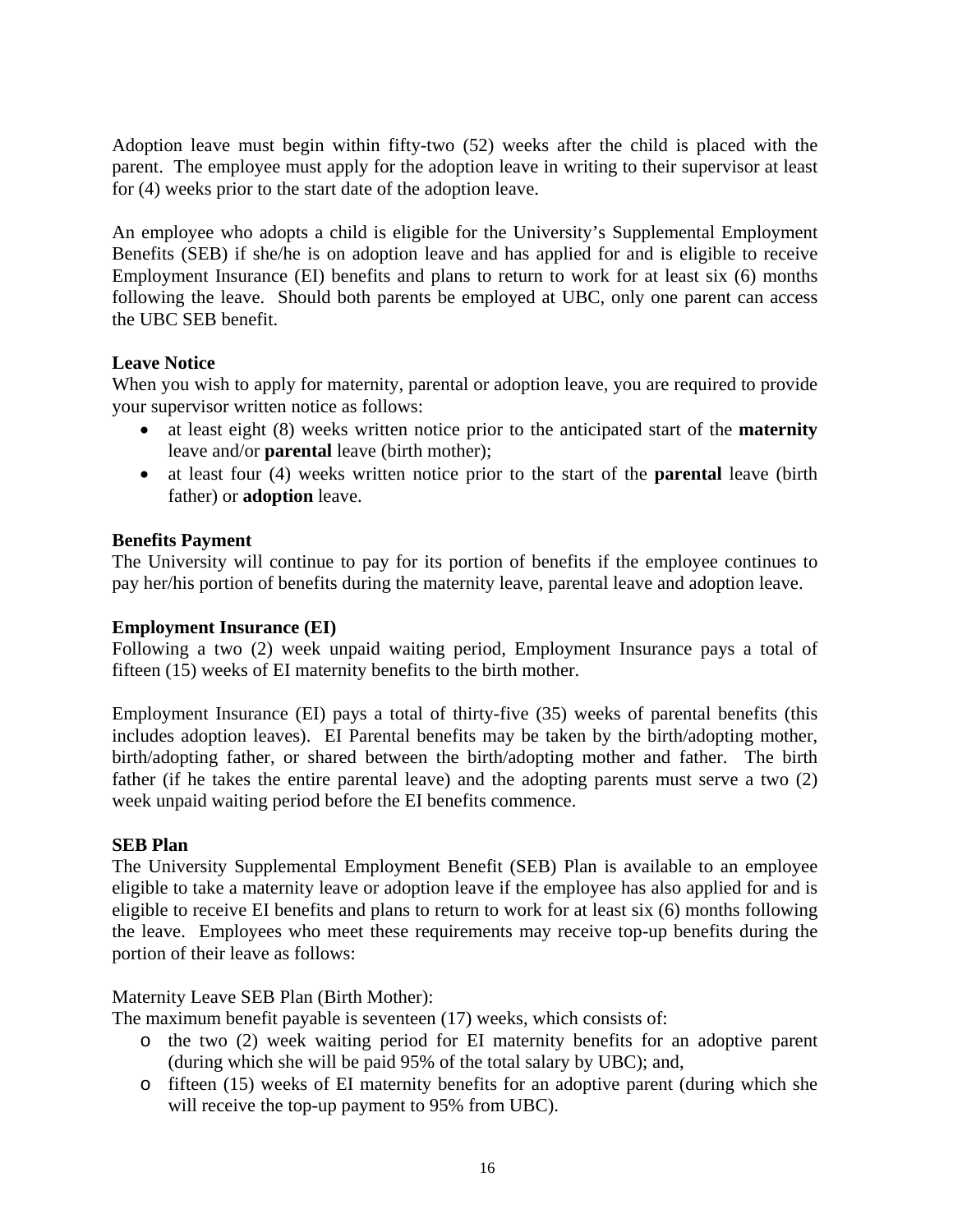Adoption leave must begin within fifty-two (52) weeks after the child is placed with the parent. The employee must apply for the adoption leave in writing to their supervisor at least for (4) weeks prior to the start date of the adoption leave.

An employee who adopts a child is eligible for the University's Supplemental Employment Benefits (SEB) if she/he is on adoption leave and has applied for and is eligible to receive Employment Insurance (EI) benefits and plans to return to work for at least six (6) months following the leave. Should both parents be employed at UBC, only one parent can access the UBC SEB benefit.

### **Leave Notice**

When you wish to apply for maternity, parental or adoption leave, you are required to provide your supervisor written notice as follows:

- at least eight (8) weeks written notice prior to the anticipated start of the **maternity**  leave and/or **parental** leave (birth mother);
- at least four (4) weeks written notice prior to the start of the **parental** leave (birth father) or **adoption** leave.

### **Benefits Payment**

The University will continue to pay for its portion of benefits if the employee continues to pay her/his portion of benefits during the maternity leave, parental leave and adoption leave.

### **Employment Insurance (EI)**

Following a two (2) week unpaid waiting period, Employment Insurance pays a total of fifteen (15) weeks of EI maternity benefits to the birth mother.

Employment Insurance (EI) pays a total of thirty-five (35) weeks of parental benefits (this includes adoption leaves). EI Parental benefits may be taken by the birth/adopting mother, birth/adopting father, or shared between the birth/adopting mother and father. The birth father (if he takes the entire parental leave) and the adopting parents must serve a two (2) week unpaid waiting period before the EI benefits commence.

### **SEB Plan**

The University Supplemental Employment Benefit (SEB) Plan is available to an employee eligible to take a maternity leave or adoption leave if the employee has also applied for and is eligible to receive EI benefits and plans to return to work for at least six (6) months following the leave. Employees who meet these requirements may receive top-up benefits during the portion of their leave as follows:

### Maternity Leave SEB Plan (Birth Mother):

The maximum benefit payable is seventeen (17) weeks, which consists of:

- o the two (2) week waiting period for EI maternity benefits for an adoptive parent (during which she will be paid 95% of the total salary by UBC); and,
- o fifteen (15) weeks of EI maternity benefits for an adoptive parent (during which she will receive the top-up payment to 95% from UBC).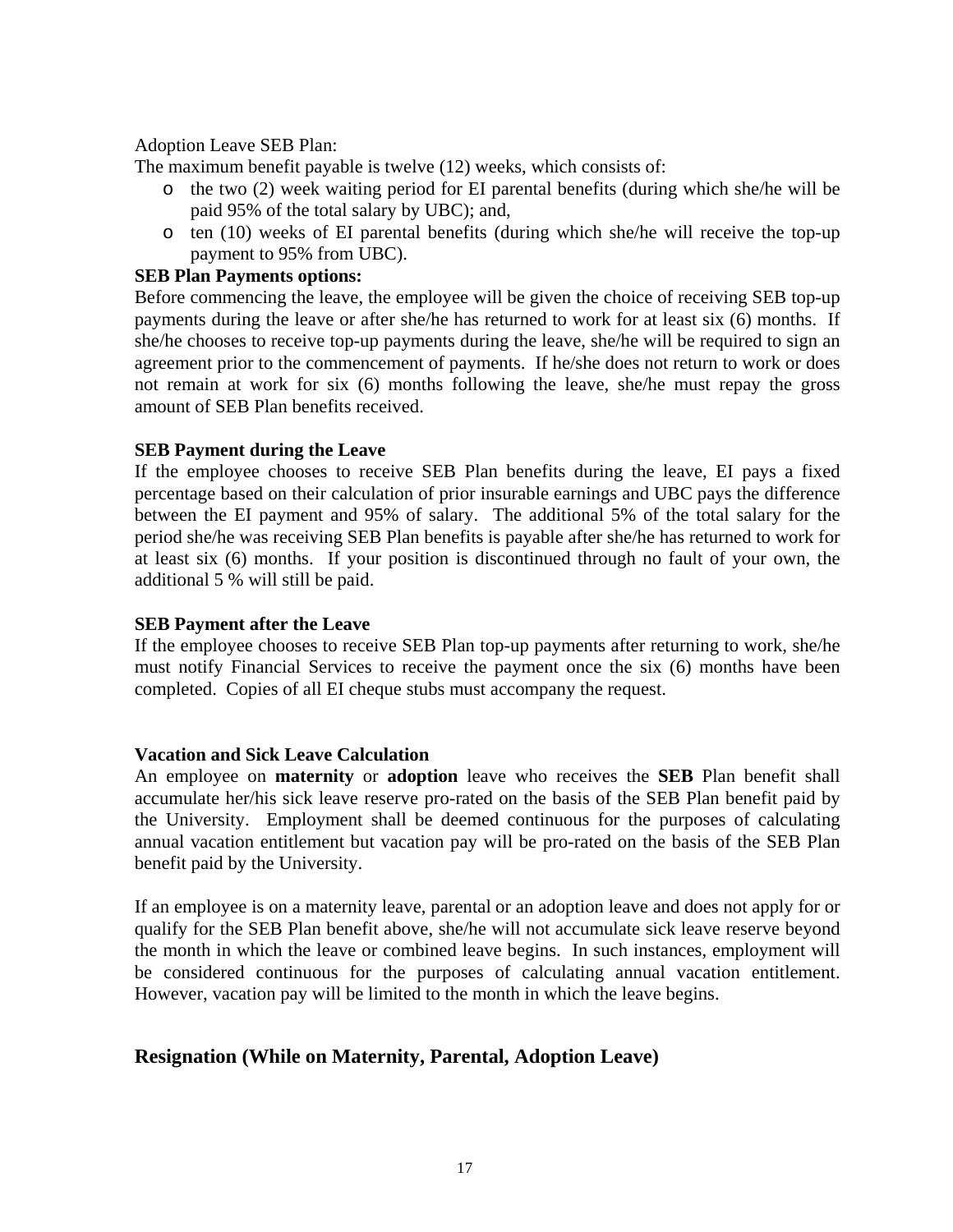#### Adoption Leave SEB Plan:

The maximum benefit payable is twelve (12) weeks, which consists of:

- o the two (2) week waiting period for EI parental benefits (during which she/he will be paid 95% of the total salary by UBC); and,
- o ten (10) weeks of EI parental benefits (during which she/he will receive the top-up payment to 95% from UBC).

#### **SEB Plan Payments options:**

Before commencing the leave, the employee will be given the choice of receiving SEB top-up payments during the leave or after she/he has returned to work for at least six (6) months. If she/he chooses to receive top-up payments during the leave, she/he will be required to sign an agreement prior to the commencement of payments. If he/she does not return to work or does not remain at work for six (6) months following the leave, she/he must repay the gross amount of SEB Plan benefits received.

#### **SEB Payment during the Leave**

If the employee chooses to receive SEB Plan benefits during the leave, EI pays a fixed percentage based on their calculation of prior insurable earnings and UBC pays the difference between the EI payment and 95% of salary. The additional 5% of the total salary for the period she/he was receiving SEB Plan benefits is payable after she/he has returned to work for at least six (6) months. If your position is discontinued through no fault of your own, the additional 5 % will still be paid.

#### **SEB Payment after the Leave**

If the employee chooses to receive SEB Plan top-up payments after returning to work, she/he must notify Financial Services to receive the payment once the six (6) months have been completed. Copies of all EI cheque stubs must accompany the request.

### **Vacation and Sick Leave Calculation**

An employee on **maternity** or **adoption** leave who receives the **SEB** Plan benefit shall accumulate her/his sick leave reserve pro-rated on the basis of the SEB Plan benefit paid by the University. Employment shall be deemed continuous for the purposes of calculating annual vacation entitlement but vacation pay will be pro-rated on the basis of the SEB Plan benefit paid by the University.

If an employee is on a maternity leave, parental or an adoption leave and does not apply for or qualify for the SEB Plan benefit above, she/he will not accumulate sick leave reserve beyond the month in which the leave or combined leave begins. In such instances, employment will be considered continuous for the purposes of calculating annual vacation entitlement. However, vacation pay will be limited to the month in which the leave begins.

## **Resignation (While on Maternity, Parental, Adoption Leave)**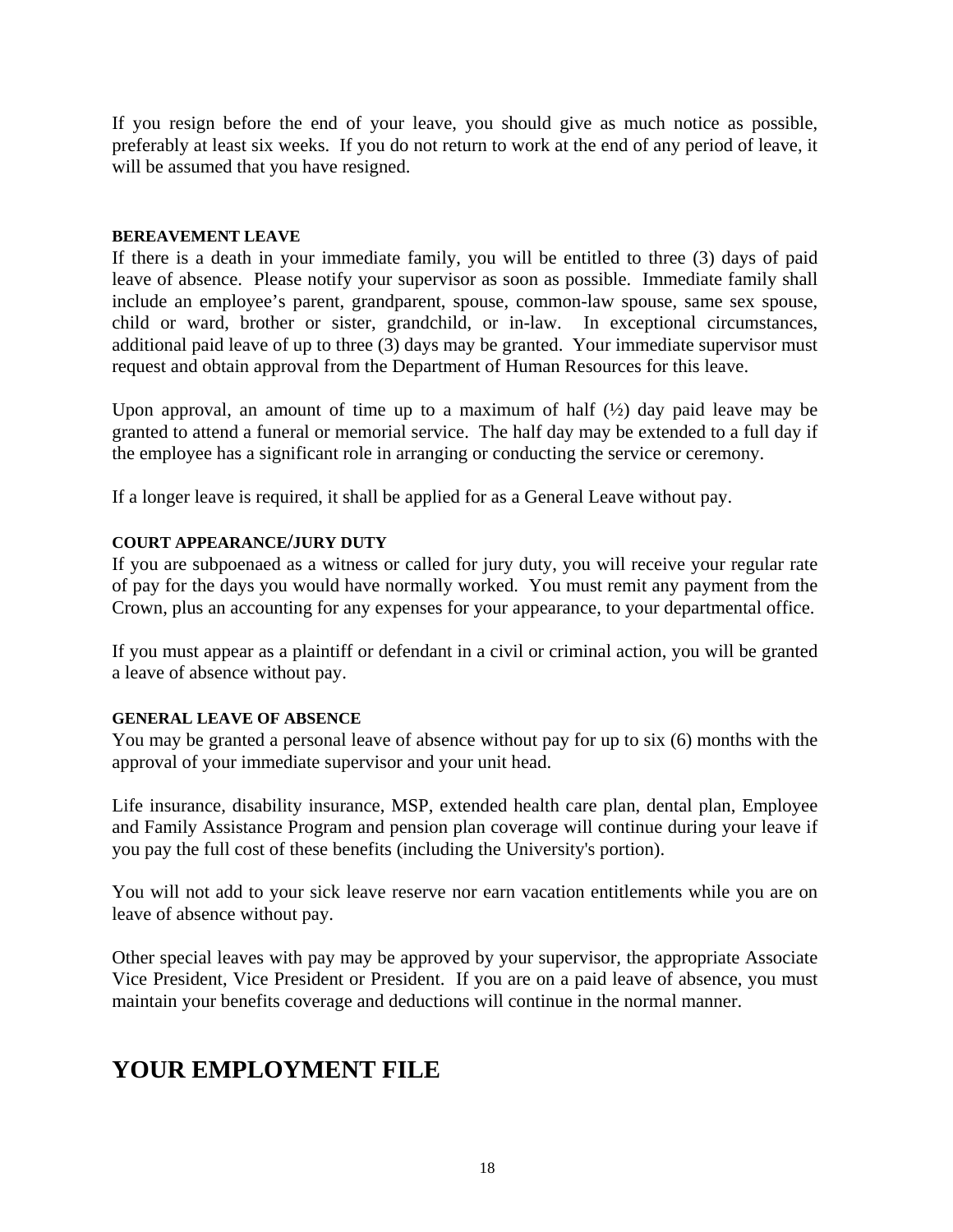If you resign before the end of your leave, you should give as much notice as possible, preferably at least six weeks. If you do not return to work at the end of any period of leave, it will be assumed that you have resigned.

#### **BEREAVEMENT LEAVE**

If there is a death in your immediate family, you will be entitled to three (3) days of paid leave of absence. Please notify your supervisor as soon as possible. Immediate family shall include an employee's parent, grandparent, spouse, common-law spouse, same sex spouse, child or ward, brother or sister, grandchild, or in-law. In exceptional circumstances, additional paid leave of up to three (3) days may be granted. Your immediate supervisor must request and obtain approval from the Department of Human Resources for this leave.

Upon approval, an amount of time up to a maximum of half  $(\frac{1}{2})$  day paid leave may be granted to attend a funeral or memorial service. The half day may be extended to a full day if the employee has a significant role in arranging or conducting the service or ceremony.

If a longer leave is required, it shall be applied for as a General Leave without pay.

### **COURT APPEARANCE/JURY DUTY**

If you are subpoenaed as a witness or called for jury duty, you will receive your regular rate of pay for the days you would have normally worked. You must remit any payment from the Crown, plus an accounting for any expenses for your appearance, to your departmental office.

If you must appear as a plaintiff or defendant in a civil or criminal action, you will be granted a leave of absence without pay.

### **GENERAL LEAVE OF ABSENCE**

You may be granted a personal leave of absence without pay for up to six (6) months with the approval of your immediate supervisor and your unit head.

Life insurance, disability insurance, MSP, extended health care plan, dental plan, Employee and Family Assistance Program and pension plan coverage will continue during your leave if you pay the full cost of these benefits (including the University's portion).

You will not add to your sick leave reserve nor earn vacation entitlements while you are on leave of absence without pay.

Other special leaves with pay may be approved by your supervisor*,* the appropriate Associate Vice President, Vice President or President. If you are on a paid leave of absence, you must maintain your benefits coverage and deductions will continue in the normal manner.

## **YOUR EMPLOYMENT FILE**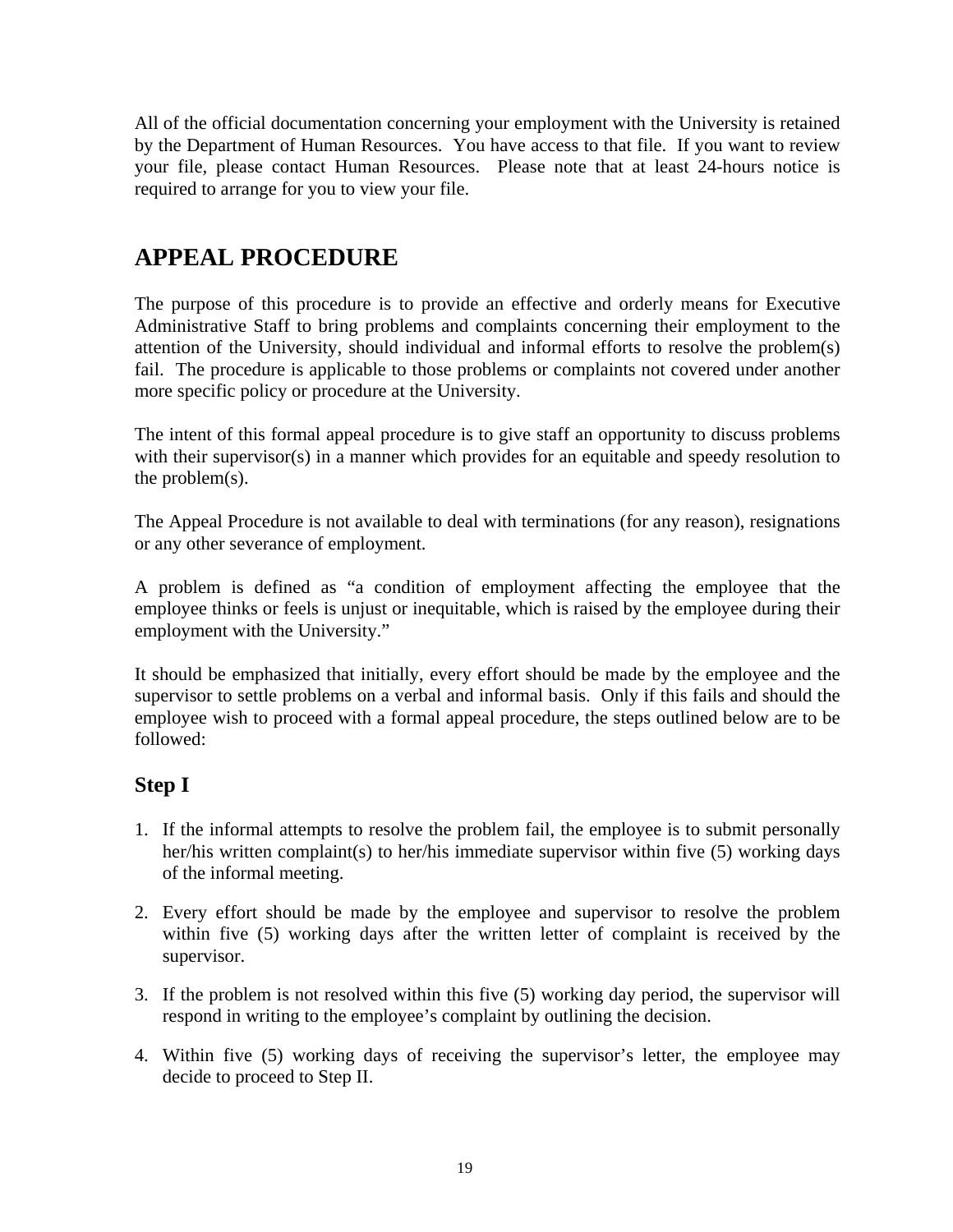All of the official documentation concerning your employment with the University is retained by the Department of Human Resources. You have access to that file. If you want to review your file, please contact Human Resources. Please note that at least 24-hours notice is required to arrange for you to view your file.

## **APPEAL PROCEDURE**

The purpose of this procedure is to provide an effective and orderly means for Executive Administrative Staff to bring problems and complaints concerning their employment to the attention of the University, should individual and informal efforts to resolve the problem(s) fail. The procedure is applicable to those problems or complaints not covered under another more specific policy or procedure at the University.

The intent of this formal appeal procedure is to give staff an opportunity to discuss problems with their supervisor(s) in a manner which provides for an equitable and speedy resolution to the problem(s).

The Appeal Procedure is not available to deal with terminations (for any reason), resignations or any other severance of employment.

A problem is defined as "a condition of employment affecting the employee that the employee thinks or feels is unjust or inequitable, which is raised by the employee during their employment with the University."

It should be emphasized that initially, every effort should be made by the employee and the supervisor to settle problems on a verbal and informal basis. Only if this fails and should the employee wish to proceed with a formal appeal procedure, the steps outlined below are to be followed:

## **Step I**

- 1. If the informal attempts to resolve the problem fail, the employee is to submit personally her/his written complaint(s) to her/his immediate supervisor within five (5) working days of the informal meeting.
- 2. Every effort should be made by the employee and supervisor to resolve the problem within five (5) working days after the written letter of complaint is received by the supervisor.
- 3. If the problem is not resolved within this five (5) working day period, the supervisor will respond in writing to the employee's complaint by outlining the decision.
- 4. Within five (5) working days of receiving the supervisor's letter, the employee may decide to proceed to Step II.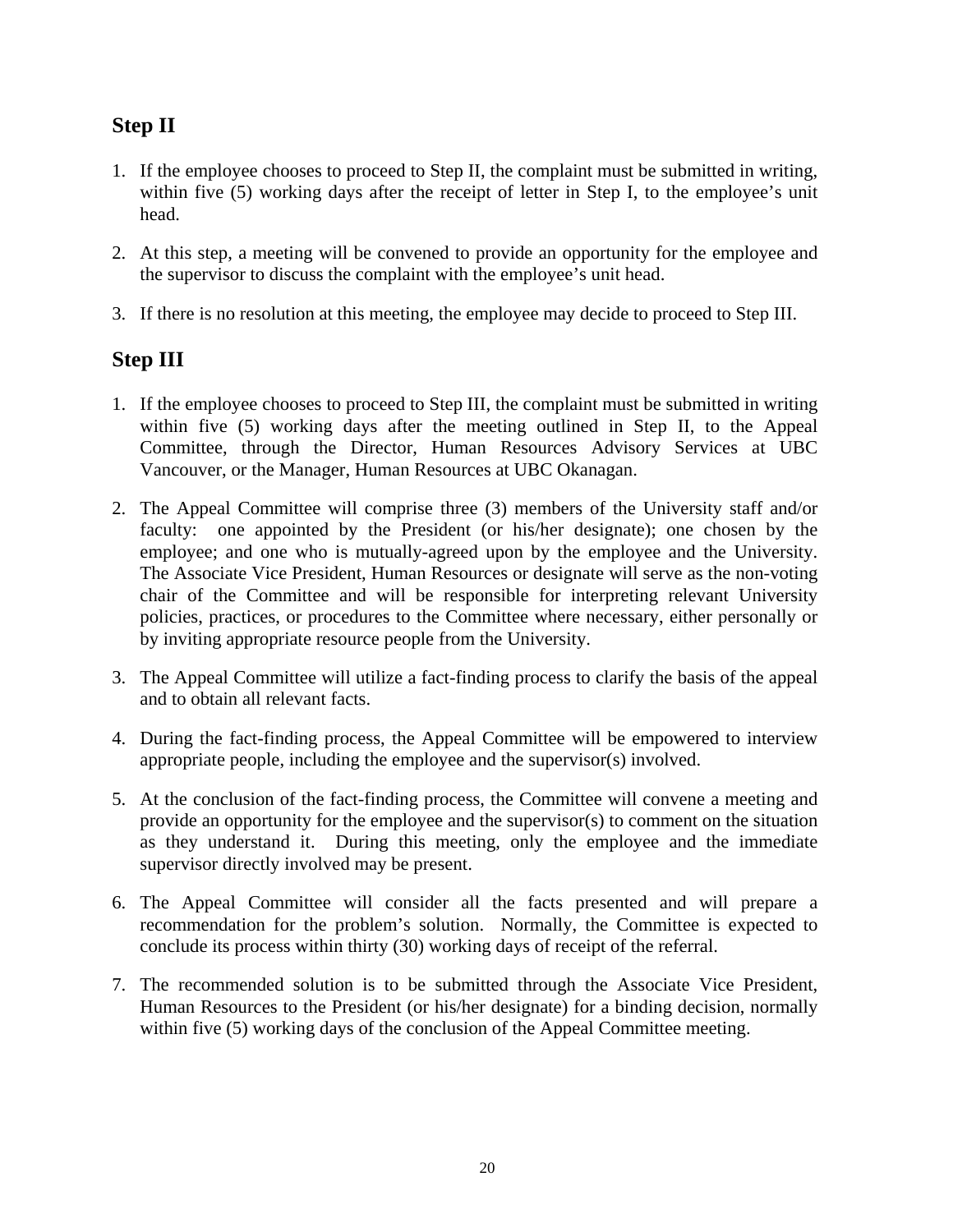## **Step II**

- 1. If the employee chooses to proceed to Step II, the complaint must be submitted in writing, within five (5) working days after the receipt of letter in Step I, to the employee's unit head.
- 2. At this step, a meeting will be convened to provide an opportunity for the employee and the supervisor to discuss the complaint with the employee's unit head.
- 3. If there is no resolution at this meeting, the employee may decide to proceed to Step III.

## **Step III**

- 1. If the employee chooses to proceed to Step III, the complaint must be submitted in writing within five (5) working days after the meeting outlined in Step II, to the Appeal Committee, through the Director, Human Resources Advisory Services at UBC Vancouver, or the Manager, Human Resources at UBC Okanagan.
- 2. The Appeal Committee will comprise three (3) members of the University staff and/or faculty: one appointed by the President (or his/her designate); one chosen by the employee; and one who is mutually-agreed upon by the employee and the University. The Associate Vice President, Human Resources or designate will serve as the non-voting chair of the Committee and will be responsible for interpreting relevant University policies, practices, or procedures to the Committee where necessary, either personally or by inviting appropriate resource people from the University.
- 3. The Appeal Committee will utilize a fact-finding process to clarify the basis of the appeal and to obtain all relevant facts.
- 4. During the fact-finding process, the Appeal Committee will be empowered to interview appropriate people, including the employee and the supervisor(s) involved.
- 5. At the conclusion of the fact-finding process, the Committee will convene a meeting and provide an opportunity for the employee and the supervisor(s) to comment on the situation as they understand it. During this meeting, only the employee and the immediate supervisor directly involved may be present.
- 6. The Appeal Committee will consider all the facts presented and will prepare a recommendation for the problem's solution. Normally, the Committee is expected to conclude its process within thirty (30) working days of receipt of the referral.
- 7. The recommended solution is to be submitted through the Associate Vice President, Human Resources to the President (or his/her designate) for a binding decision, normally within five (5) working days of the conclusion of the Appeal Committee meeting.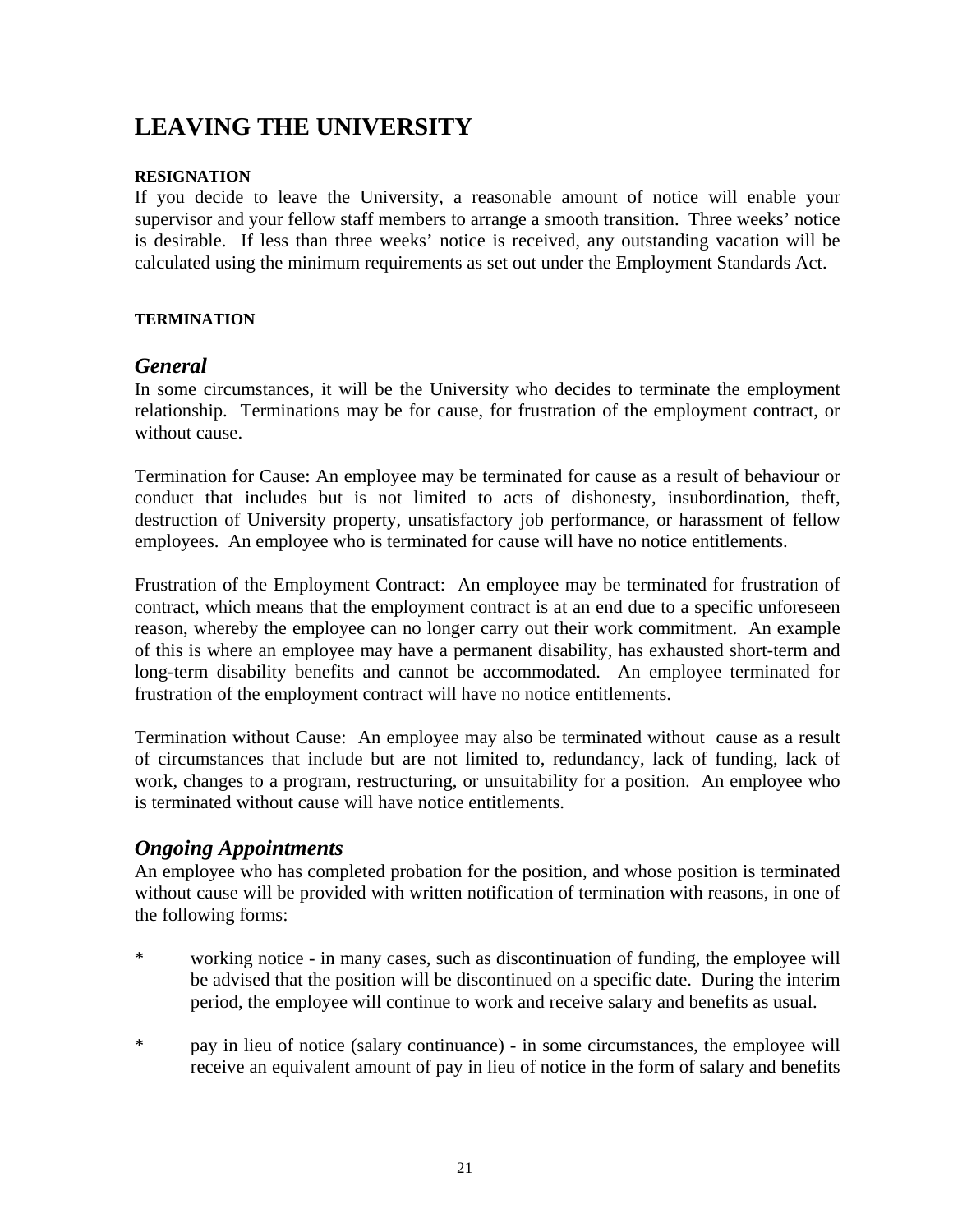# **LEAVING THE UNIVERSITY**

### **RESIGNATION**

If you decide to leave the University, a reasonable amount of notice will enable your supervisor and your fellow staff members to arrange a smooth transition. Three weeks' notice is desirable. If less than three weeks' notice is received, any outstanding vacation will be calculated using the minimum requirements as set out under the Employment Standards Act.

### **TERMINATION**

## *General*

In some circumstances, it will be the University who decides to terminate the employment relationship. Terminations may be for cause, for frustration of the employment contract, or without cause.

Termination for Cause: An employee may be terminated for cause as a result of behaviour or conduct that includes but is not limited to acts of dishonesty, insubordination, theft, destruction of University property, unsatisfactory job performance, or harassment of fellow employees. An employee who is terminated for cause will have no notice entitlements.

Frustration of the Employment Contract: An employee may be terminated for frustration of contract, which means that the employment contract is at an end due to a specific unforeseen reason, whereby the employee can no longer carry out their work commitment. An example of this is where an employee may have a permanent disability, has exhausted short-term and long-term disability benefits and cannot be accommodated. An employee terminated for frustration of the employment contract will have no notice entitlements.

Termination without Cause: An employee may also be terminated without cause as a result of circumstances that include but are not limited to, redundancy, lack of funding, lack of work, changes to a program, restructuring, or unsuitability for a position. An employee who is terminated without cause will have notice entitlements.

## *Ongoing Appointments*

An employee who has completed probation for the position, and whose position is terminated without cause will be provided with written notification of termination with reasons, in one of the following forms:

- \* working notice in many cases, such as discontinuation of funding, the employee will be advised that the position will be discontinued on a specific date. During the interim period, the employee will continue to work and receive salary and benefits as usual.
- \* pay in lieu of notice (salary continuance) in some circumstances, the employee will receive an equivalent amount of pay in lieu of notice in the form of salary and benefits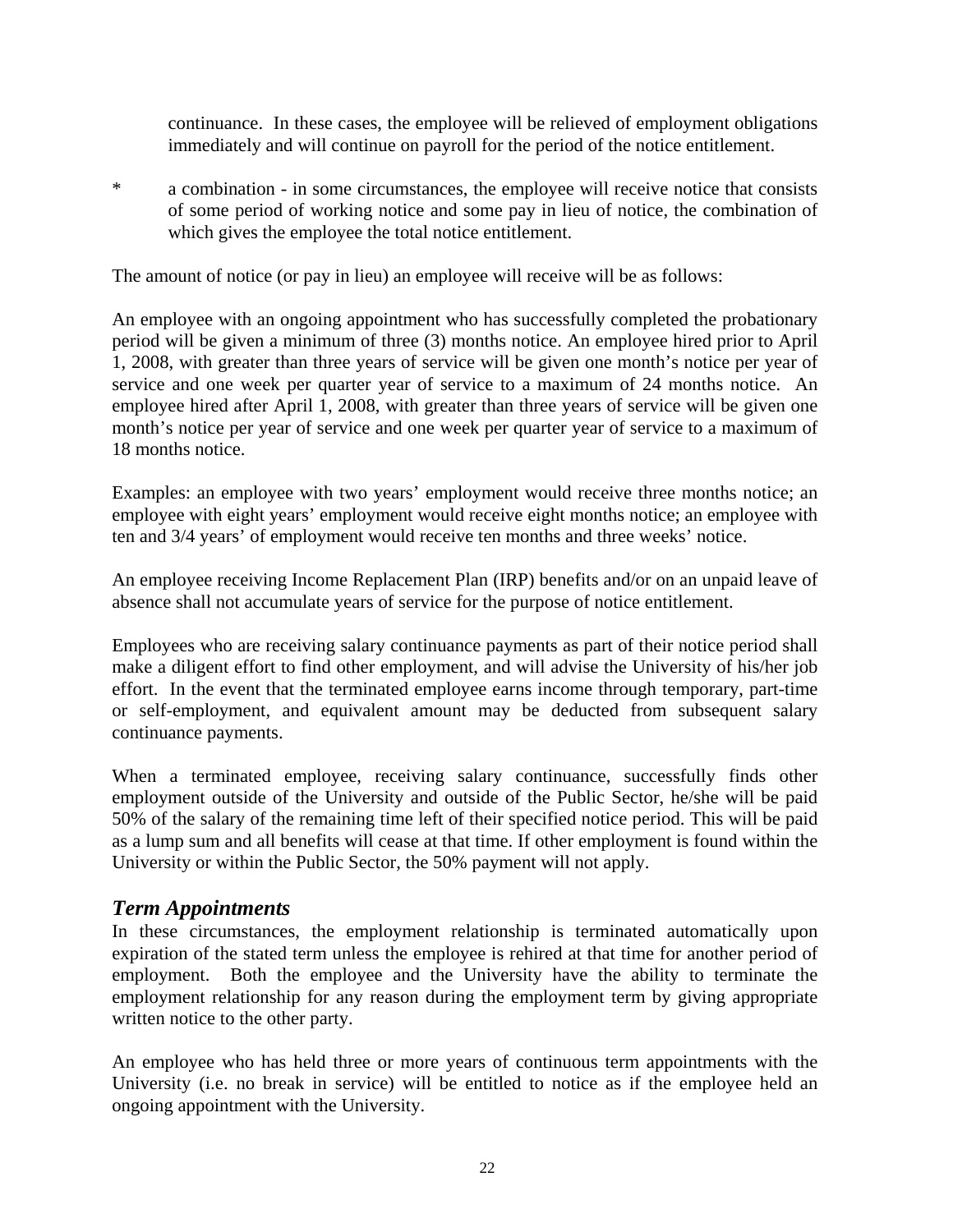continuance. In these cases, the employee will be relieved of employment obligations immediately and will continue on payroll for the period of the notice entitlement.

\* a combination - in some circumstances, the employee will receive notice that consists of some period of working notice and some pay in lieu of notice, the combination of which gives the employee the total notice entitlement.

The amount of notice (or pay in lieu) an employee will receive will be as follows:

An employee with an ongoing appointment who has successfully completed the probationary period will be given a minimum of three (3) months notice. An employee hired prior to April 1, 2008, with greater than three years of service will be given one month's notice per year of service and one week per quarter year of service to a maximum of 24 months notice. An employee hired after April 1, 2008, with greater than three years of service will be given one month's notice per year of service and one week per quarter year of service to a maximum of 18 months notice.

Examples: an employee with two years' employment would receive three months notice; an employee with eight years' employment would receive eight months notice; an employee with ten and 3/4 years' of employment would receive ten months and three weeks' notice.

An employee receiving Income Replacement Plan (IRP) benefits and/or on an unpaid leave of absence shall not accumulate years of service for the purpose of notice entitlement.

Employees who are receiving salary continuance payments as part of their notice period shall make a diligent effort to find other employment, and will advise the University of his/her job effort. In the event that the terminated employee earns income through temporary, part-time or self-employment, and equivalent amount may be deducted from subsequent salary continuance payments.

When a terminated employee, receiving salary continuance, successfully finds other employment outside of the University and outside of the Public Sector, he/she will be paid 50% of the salary of the remaining time left of their specified notice period. This will be paid as a lump sum and all benefits will cease at that time. If other employment is found within the University or within the Public Sector, the 50% payment will not apply.

## *Term Appointments*

In these circumstances, the employment relationship is terminated automatically upon expiration of the stated term unless the employee is rehired at that time for another period of employment. Both the employee and the University have the ability to terminate the employment relationship for any reason during the employment term by giving appropriate written notice to the other party.

An employee who has held three or more years of continuous term appointments with the University (i.e. no break in service) will be entitled to notice as if the employee held an ongoing appointment with the University.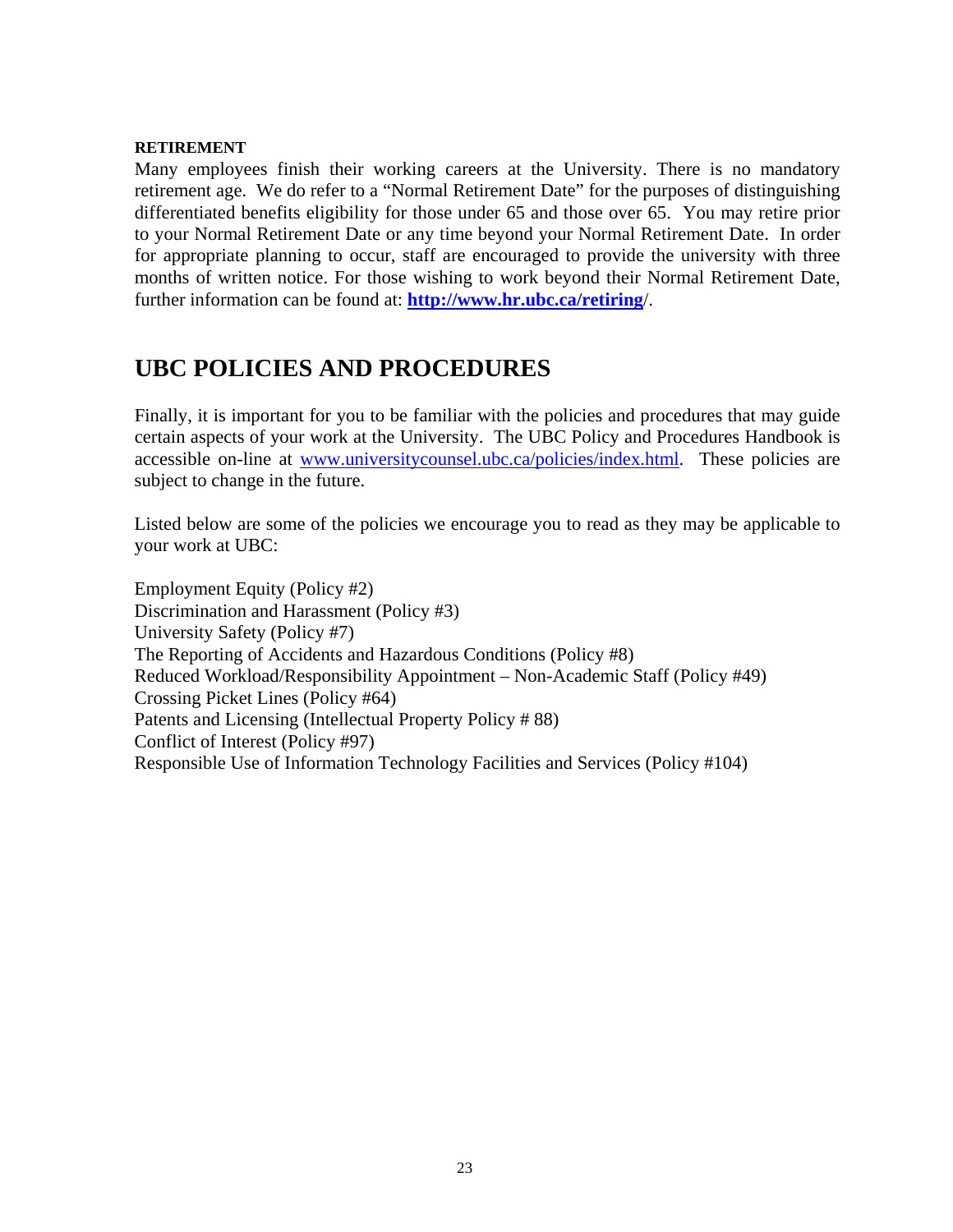#### **RETIREMENT**

Many employees finish their working careers at the University. There is no mandatory retirement age. We do refer to a "Normal Retirement Date" for the purposes of distinguishing differentiated benefits eligibility for those under 65 and those over 65. You may retire prior to your Normal Retirement Date or any time beyond your Normal Retirement Date. In order for appropriate planning to occur, staff are encouraged to provide the university with three months of written notice. For those wishing to work beyond their Normal Retirement Date, further information can be found at: **http://www.hr.ubc.ca/retiring**/.

# **UBC POLICIES AND PROCEDURES**

Finally, it is important for you to be familiar with the policies and procedures that may guide certain aspects of your work at the University. The UBC Policy and Procedures Handbook is accessible on-line at www.universitycounsel.ubc.ca/policies/index.html. These policies are subject to change in the future.

Listed below are some of the policies we encourage you to read as they may be applicable to your work at UBC:

Employment Equity (Policy #2) Discrimination and Harassment (Policy #3) University Safety (Policy #7) The Reporting of Accidents and Hazardous Conditions (Policy #8) Reduced Workload/Responsibility Appointment – Non-Academic Staff (Policy #49) Crossing Picket Lines (Policy #64) Patents and Licensing (Intellectual Property Policy # 88) Conflict of Interest (Policy #97) Responsible Use of Information Technology Facilities and Services (Policy #104)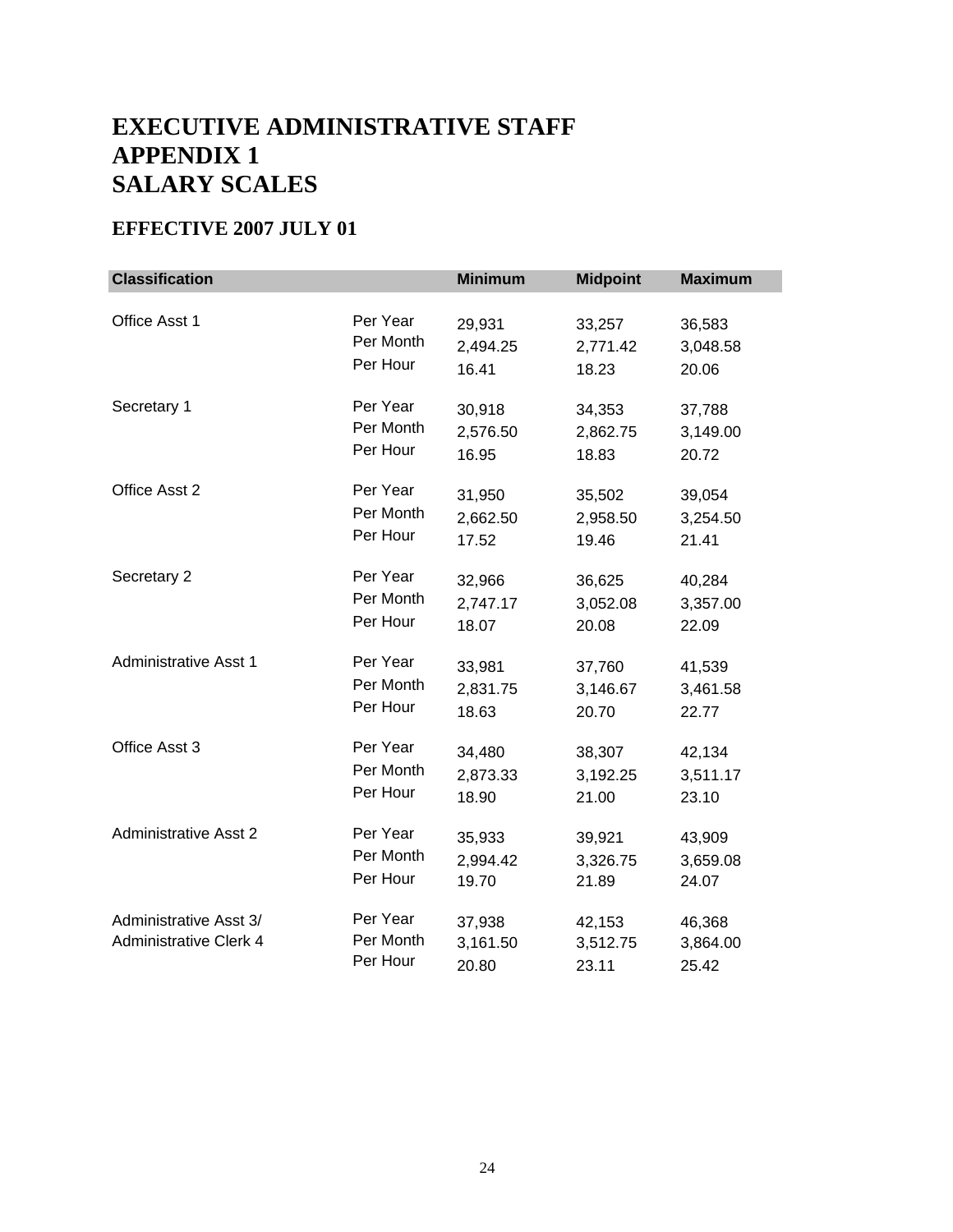# **EXECUTIVE ADMINISTRATIVE STAFF APPENDIX 1 SALARY SCALES**

## **EFFECTIVE 2007 JULY 01**

| <b>Classification</b>                                   |                                   | <b>Minimum</b>              | <b>Midpoint</b>             | <b>Maximum</b>              |
|---------------------------------------------------------|-----------------------------------|-----------------------------|-----------------------------|-----------------------------|
| Office Asst 1                                           | Per Year                          | 29,931                      | 33,257                      | 36,583                      |
|                                                         | Per Month                         | 2,494.25                    | 2,771.42                    | 3,048.58                    |
|                                                         | Per Hour                          | 16.41                       | 18.23                       | 20.06                       |
| Secretary 1                                             | Per Year                          | 30,918                      | 34,353                      | 37,788                      |
|                                                         | Per Month                         | 2,576.50                    | 2,862.75                    | 3,149.00                    |
|                                                         | Per Hour                          | 16.95                       | 18.83                       | 20.72                       |
| Office Asst 2                                           | Per Year                          | 31,950                      | 35,502                      | 39,054                      |
|                                                         | Per Month                         | 2,662.50                    | 2,958.50                    | 3,254.50                    |
|                                                         | Per Hour                          | 17.52                       | 19.46                       | 21.41                       |
| Secretary 2                                             | Per Year                          | 32,966                      | 36,625                      | 40,284                      |
|                                                         | Per Month                         | 2,747.17                    | 3,052.08                    | 3,357.00                    |
|                                                         | Per Hour                          | 18.07                       | 20.08                       | 22.09                       |
| <b>Administrative Asst 1</b>                            | Per Year                          | 33,981                      | 37,760                      | 41,539                      |
|                                                         | Per Month                         | 2,831.75                    | 3,146.67                    | 3,461.58                    |
|                                                         | Per Hour                          | 18.63                       | 20.70                       | 22.77                       |
| Office Asst 3                                           | Per Year                          | 34,480                      | 38,307                      | 42,134                      |
|                                                         | Per Month                         | 2,873.33                    | 3,192.25                    | 3,511.17                    |
|                                                         | Per Hour                          | 18.90                       | 21.00                       | 23.10                       |
| <b>Administrative Asst 2</b>                            | Per Year                          | 35,933                      | 39,921                      | 43,909                      |
|                                                         | Per Month                         | 2,994.42                    | 3,326.75                    | 3,659.08                    |
|                                                         | Per Hour                          | 19.70                       | 21.89                       | 24.07                       |
| Administrative Asst 3/<br><b>Administrative Clerk 4</b> | Per Year<br>Per Month<br>Per Hour | 37,938<br>3,161.50<br>20.80 | 42,153<br>3,512.75<br>23.11 | 46,368<br>3,864.00<br>25.42 |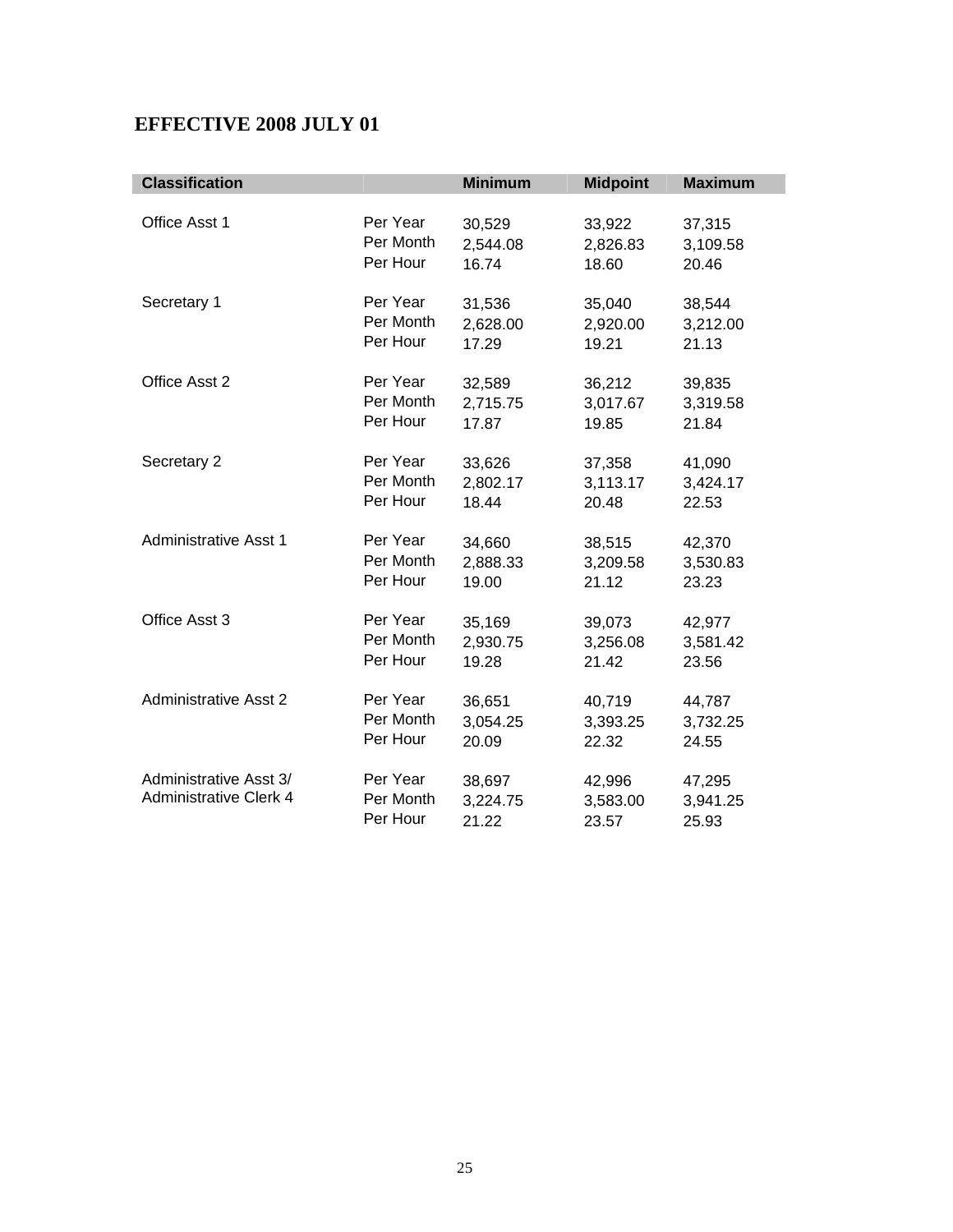## **EFFECTIVE 2008 JULY 01**

| <b>Classification</b>                                   |                                   | <b>Minimum</b>              | <b>Midpoint</b>             | <b>Maximum</b>              |
|---------------------------------------------------------|-----------------------------------|-----------------------------|-----------------------------|-----------------------------|
| Office Asst 1                                           | Per Year                          | 30,529                      | 33,922                      | 37,315                      |
|                                                         | Per Month                         | 2,544.08                    | 2,826.83                    | 3,109.58                    |
|                                                         | Per Hour                          | 16.74                       | 18.60                       | 20.46                       |
| Secretary 1                                             | Per Year                          | 31,536                      | 35,040                      | 38,544                      |
|                                                         | Per Month                         | 2,628.00                    | 2,920.00                    | 3,212.00                    |
|                                                         | Per Hour                          | 17.29                       | 19.21                       | 21.13                       |
| Office Asst 2                                           | Per Year                          | 32,589                      | 36,212                      | 39,835                      |
|                                                         | Per Month                         | 2,715.75                    | 3,017.67                    | 3,319.58                    |
|                                                         | Per Hour                          | 17.87                       | 19.85                       | 21.84                       |
| Secretary 2                                             | Per Year                          | 33,626                      | 37,358                      | 41,090                      |
|                                                         | Per Month                         | 2,802.17                    | 3,113.17                    | 3,424.17                    |
|                                                         | Per Hour                          | 18.44                       | 20.48                       | 22.53                       |
| <b>Administrative Asst 1</b>                            | Per Year                          | 34,660                      | 38,515                      | 42,370                      |
|                                                         | Per Month                         | 2,888.33                    | 3,209.58                    | 3,530.83                    |
|                                                         | Per Hour                          | 19.00                       | 21.12                       | 23.23                       |
| Office Asst 3                                           | Per Year                          | 35,169                      | 39,073                      | 42,977                      |
|                                                         | Per Month                         | 2,930.75                    | 3,256.08                    | 3,581.42                    |
|                                                         | Per Hour                          | 19.28                       | 21.42                       | 23.56                       |
| <b>Administrative Asst 2</b>                            | Per Year                          | 36,651                      | 40,719                      | 44,787                      |
|                                                         | Per Month                         | 3,054.25                    | 3,393.25                    | 3,732.25                    |
|                                                         | Per Hour                          | 20.09                       | 22.32                       | 24.55                       |
| Administrative Asst 3/<br><b>Administrative Clerk 4</b> | Per Year<br>Per Month<br>Per Hour | 38,697<br>3,224.75<br>21.22 | 42,996<br>3,583.00<br>23.57 | 47,295<br>3,941.25<br>25.93 |